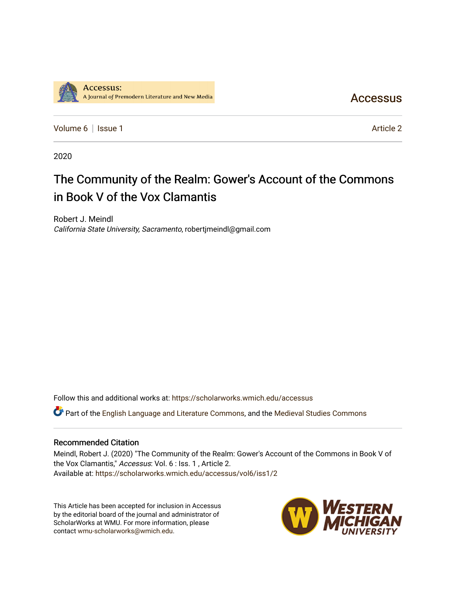

**Accessus** 

[Volume 6](https://scholarworks.wmich.edu/accessus/vol6) | [Issue 1](https://scholarworks.wmich.edu/accessus/vol6/iss1) Article 2

2020

## The Community of the Realm: Gower's Account of the Commons in Book V of the Vox Clamantis

Robert J. Meindl California State University, Sacramento, robertjmeindl@gmail.com

Follow this and additional works at: [https://scholarworks.wmich.edu/accessus](https://scholarworks.wmich.edu/accessus?utm_source=scholarworks.wmich.edu%2Faccessus%2Fvol6%2Fiss1%2F2&utm_medium=PDF&utm_campaign=PDFCoverPages)

Part of the [English Language and Literature Commons](http://network.bepress.com/hgg/discipline/455?utm_source=scholarworks.wmich.edu%2Faccessus%2Fvol6%2Fiss1%2F2&utm_medium=PDF&utm_campaign=PDFCoverPages), and the [Medieval Studies Commons](http://network.bepress.com/hgg/discipline/480?utm_source=scholarworks.wmich.edu%2Faccessus%2Fvol6%2Fiss1%2F2&utm_medium=PDF&utm_campaign=PDFCoverPages) 

## Recommended Citation

Meindl, Robert J. (2020) "The Community of the Realm: Gower's Account of the Commons in Book V of the Vox Clamantis," Accessus: Vol. 6 : Iss. 1 , Article 2. Available at: [https://scholarworks.wmich.edu/accessus/vol6/iss1/2](https://scholarworks.wmich.edu/accessus/vol6/iss1/2?utm_source=scholarworks.wmich.edu%2Faccessus%2Fvol6%2Fiss1%2F2&utm_medium=PDF&utm_campaign=PDFCoverPages) 

This Article has been accepted for inclusion in Accessus by the editorial board of the journal and administrator of ScholarWorks at WMU. For more information, please contact [wmu-scholarworks@wmich.edu](mailto:wmu-scholarworks@wmich.edu).

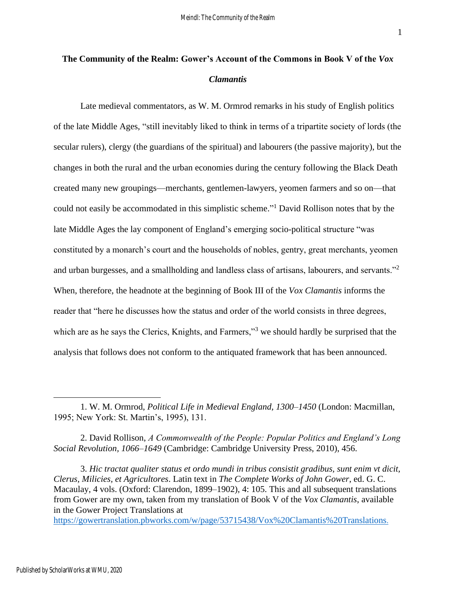## **The Community of the Realm: Gower's Account of the Commons in Book V of the** *Vox Clamantis*

Late medieval commentators, as W. M. Ormrod remarks in his study of English politics of the late Middle Ages, "still inevitably liked to think in terms of a tripartite society of lords (the secular rulers), clergy (the guardians of the spiritual) and labourers (the passive majority), but the changes in both the rural and the urban economies during the century following the Black Death created many new groupings—merchants, gentlemen-lawyers, yeomen farmers and so on—that could not easily be accommodated in this simplistic scheme." <sup>1</sup> David Rollison notes that by the late Middle Ages the lay component of England's emerging socio-political structure "was constituted by a monarch's court and the households of nobles, gentry, great merchants, yeomen and urban burgesses, and a smallholding and landless class of artisans, labourers, and servants."<sup>2</sup> When, therefore, the headnote at the beginning of Book III of the *Vox Clamantis* informs the reader that "here he discusses how the status and order of the world consists in three degrees, which are as he says the Clerics, Knights, and Farmers,"<sup>3</sup> we should hardly be surprised that the analysis that follows does not conform to the antiquated framework that has been announced.

2. David Rollison, *A Commonwealth of the People: Popular Politics and England's Long Social Revolution, 1066–1649* (Cambridge: Cambridge University Press, 2010), 456.

3. *Hic tractat qualiter status et ordo mundi in tribus consistit gradibus, sunt enim vt dicit, Clerus, Milicies, et Agricultores*. Latin text in *The Complete Works of John Gower*, ed. G. C. Macaulay, 4 vols. (Oxford: Clarendon, 1899–1902), 4: 105. This and all subsequent translations from Gower are my own, taken from my translation of Book V of the *Vox Clamantis*, available in the Gower Project Translations at

<https://gowertranslation.pbworks.com/w/page/53715438/Vox%20Clamantis%20Translations>.

<sup>1.</sup> W. M. Ormrod, *Political Life in Medieval England, 1300–1450* (London: Macmillan, 1995; New York: St. Martin's, 1995), 131.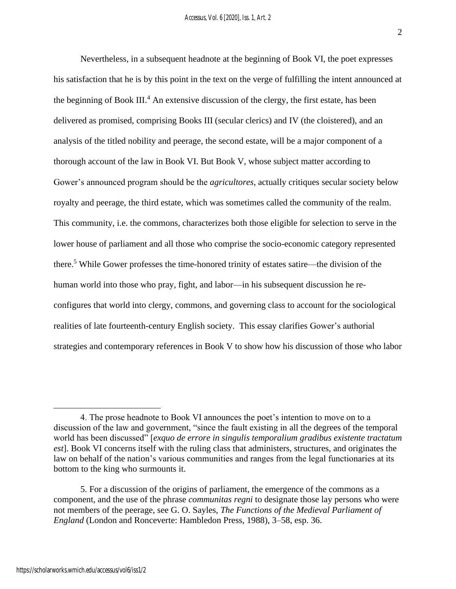Nevertheless, in a subsequent headnote at the beginning of Book VI, the poet expresses his satisfaction that he is by this point in the text on the verge of fulfilling the intent announced at the beginning of Book III.<sup>4</sup> An extensive discussion of the clergy, the first estate, has been delivered as promised, comprising Books III (secular clerics) and IV (the cloistered), and an analysis of the titled nobility and peerage, the second estate, will be a major component of a thorough account of the law in Book VI. But Book V, whose subject matter according to Gower's announced program should be the *agricultores*, actually critiques secular society below royalty and peerage, the third estate, which was sometimes called the community of the realm. This community, i.e. the commons, characterizes both those eligible for selection to serve in the lower house of parliament and all those who comprise the socio-economic category represented there. <sup>5</sup> While Gower professes the time-honored trinity of estates satire—the division of the human world into those who pray, fight, and labor—in his subsequent discussion he reconfigures that world into clergy, commons, and governing class to account for the sociological realities of late fourteenth-century English society. This essay clarifies Gower's authorial strategies and contemporary references in Book V to show how his discussion of those who labor

<sup>4.</sup> The prose headnote to Book VI announces the poet's intention to move on to a discussion of the law and government, "since the fault existing in all the degrees of the temporal world has been discussed" [*exquo de errore in singulis temporalium gradibus existente tractatum est*]. Book VI concerns itself with the ruling class that administers, structures, and originates the law on behalf of the nation's various communities and ranges from the legal functionaries at its bottom to the king who surmounts it.

<sup>5.</sup> For a discussion of the origins of parliament, the emergence of the commons as a component, and the use of the phrase *communitas regni* to designate those lay persons who were not members of the peerage, see G. O. Sayles, *The Functions of the Medieval Parliament of England* (London and Ronceverte: Hambledon Press, 1988), 3–58, esp. 36.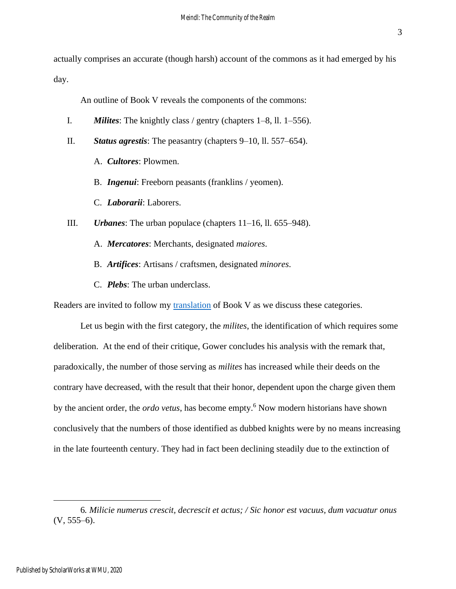actually comprises an accurate (though harsh) account of the commons as it had emerged by his day.

An outline of Book V reveals the components of the commons:

- I. *Milites*: The knightly class / gentry (chapters 1–8, ll. 1–556).
- II. *Status agrestis*: The peasantry (chapters 9–10, ll. 557–654).
	- A. *Cultores*: Plowmen.
	- B. *Ingenui*: Freeborn peasants (franklins / yeomen).
	- C. *Laborarii*: Laborers.
- III. *Urbanes*: The urban populace (chapters 11–16, ll. 655–948).
	- A. *Mercatores*: Merchants, designated *maiores*.
	- B. *Artifices*: Artisans / craftsmen, designated *minores*.
	- C. *Plebs*: The urban underclass.

Readers are invited to follow my [translation](http://gowertranslation.pbworks.com/w/page/53715438/Vox%20Clamantis%20Translations) of Book V as we discuss these categories.

Let us begin with the first category, the *milites*, the identification of which requires some deliberation. At the end of their critique, Gower concludes his analysis with the remark that, paradoxically, the number of those serving as *milites* has increased while their deeds on the contrary have decreased, with the result that their honor, dependent upon the charge given them by the ancient order, the *ordo vetus*, has become empty.<sup>6</sup> Now modern historians have shown conclusively that the numbers of those identified as dubbed knights were by no means increasing in the late fourteenth century. They had in fact been declining steadily due to the extinction of

<sup>6</sup>*. Milicie numerus crescit, decrescit et actus; / Sic honor est vacuus, dum vacuatur onus*  $(V, 555-6)$ .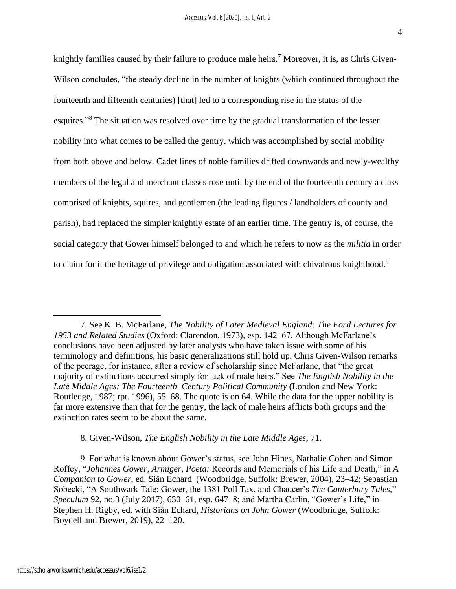knightly families caused by their failure to produce male heirs.<sup>7</sup> Moreover, it is, as Chris Given-Wilson concludes, "the steady decline in the number of knights (which continued throughout the fourteenth and fifteenth centuries) [that] led to a corresponding rise in the status of the esquires."<sup>8</sup> The situation was resolved over time by the gradual transformation of the lesser nobility into what comes to be called the gentry, which was accomplished by social mobility from both above and below. Cadet lines of noble families drifted downwards and newly-wealthy members of the legal and merchant classes rose until by the end of the fourteenth century a class comprised of knights, squires, and gentlemen (the leading figures / landholders of county and parish), had replaced the simpler knightly estate of an earlier time. The gentry is, of course, the social category that Gower himself belonged to and which he refers to now as the *militia* in order to claim for it the heritage of privilege and obligation associated with chivalrous knighthood.<sup>9</sup>

8. Given-Wilson, *The English Nobility in the Late Middle Ages*, 71.

9. For what is known about Gower's status, see John Hines, Nathalie Cohen and Simon Roffey, "*Johannes Gower, Armiger, Poeta:* Records and Memorials of his Life and Death," in *A Companion to Gower*, ed. Siân Echard (Woodbridge, Suffolk: Brewer, 2004), 23–42; Sebastian Sobecki, "A Southwark Tale: Gower, the 1381 Poll Tax, and Chaucer's *The Canterbury Tales*," *Speculum* 92, no.3 (July 2017), 630–61, esp. 647–8; and Martha Carlin, "Gower's Life," in Stephen H. Rigby, ed. with Siân Echard, *Historians on John Gower* (Woodbridge, Suffolk: Boydell and Brewer, 2019), 22–120.

<sup>7.</sup> See K. B. McFarlane, *The Nobility of Later Medieval England: The Ford Lectures for 1953 and Related Studies* (Oxford: Clarendon, 1973), esp. 142–67. Although McFarlane's conclusions have been adjusted by later analysts who have taken issue with some of his terminology and definitions, his basic generalizations still hold up. Chris Given-Wilson remarks of the peerage, for instance, after a review of scholarship since McFarlane, that "the great majority of extinctions occurred simply for lack of male heirs." See *The English Nobility in the Late Middle Ages: The Fourteenth–Century Political Community* (London and New York: Routledge, 1987; rpt. 1996), 55–68. The quote is on 64. While the data for the upper nobility is far more extensive than that for the gentry, the lack of male heirs afflicts both groups and the extinction rates seem to be about the same.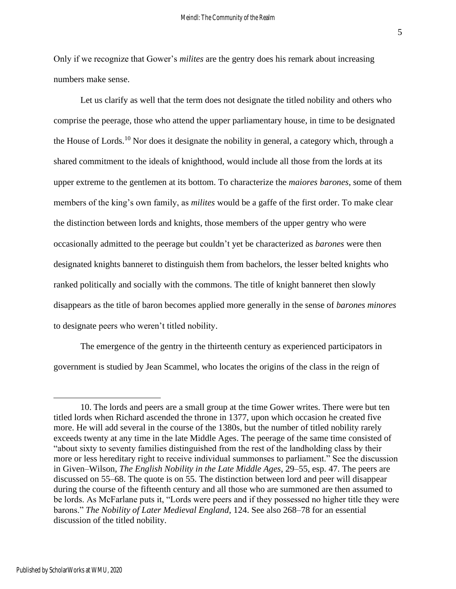Only if we recognize that Gower's *milites* are the gentry does his remark about increasing numbers make sense.

Let us clarify as well that the term does not designate the titled nobility and others who comprise the peerage, those who attend the upper parliamentary house, in time to be designated the House of Lords.<sup>10</sup> Nor does it designate the nobility in general, a category which, through a shared commitment to the ideals of knighthood, would include all those from the lords at its upper extreme to the gentlemen at its bottom. To characterize the *maiores barones*, some of them members of the king's own family, as *milites* would be a gaffe of the first order. To make clear the distinction between lords and knights, those members of the upper gentry who were occasionally admitted to the peerage but couldn't yet be characterized as *barones* were then designated knights banneret to distinguish them from bachelors, the lesser belted knights who ranked politically and socially with the commons. The title of knight banneret then slowly disappears as the title of baron becomes applied more generally in the sense of *barones minores* to designate peers who weren't titled nobility.

The emergence of the gentry in the thirteenth century as experienced participators in government is studied by Jean Scammel, who locates the origins of the class in the reign of

5

<sup>10.</sup> The lords and peers are a small group at the time Gower writes. There were but ten titled lords when Richard ascended the throne in 1377, upon which occasion he created five more. He will add several in the course of the 1380s, but the number of titled nobility rarely exceeds twenty at any time in the late Middle Ages. The peerage of the same time consisted of "about sixty to seventy families distinguished from the rest of the landholding class by their more or less hereditary right to receive individual summonses to parliament." See the discussion in Given–Wilson, *The English Nobility in the Late Middle Ages*, 29–55, esp. 47. The peers are discussed on 55–68. The quote is on 55. The distinction between lord and peer will disappear during the course of the fifteenth century and all those who are summoned are then assumed to be lords. As McFarlane puts it, "Lords were peers and if they possessed no higher title they were barons." *The Nobility of Later Medieval England*, 124. See also 268–78 for an essential discussion of the titled nobility.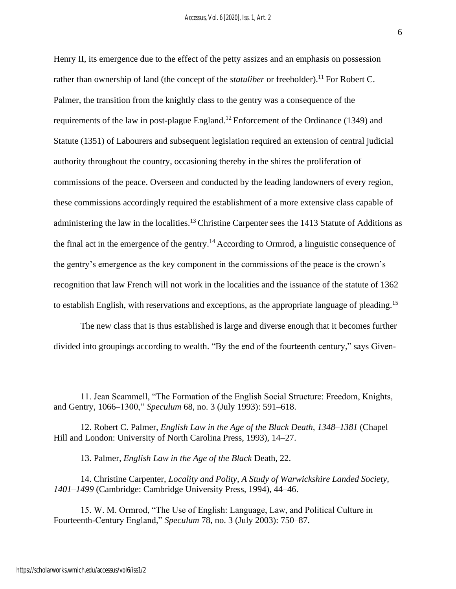6

Henry II, its emergence due to the effect of the petty assizes and an emphasis on possession rather than ownership of land (the concept of the *statuliber* or freeholder).<sup>11</sup> For Robert C. Palmer, the transition from the knightly class to the gentry was a consequence of the requirements of the law in post-plague England.<sup>12</sup> Enforcement of the Ordinance (1349) and Statute (1351) of Labourers and subsequent legislation required an extension of central judicial authority throughout the country, occasioning thereby in the shires the proliferation of commissions of the peace. Overseen and conducted by the leading landowners of every region, these commissions accordingly required the establishment of a more extensive class capable of administering the law in the localities.<sup>13</sup> Christine Carpenter sees the 1413 Statute of Additions as the final act in the emergence of the gentry.<sup>14</sup> According to Ormrod, a linguistic consequence of the gentry's emergence as the key component in the commissions of the peace is the crown's recognition that law French will not work in the localities and the issuance of the statute of 1362 to establish English, with reservations and exceptions, as the appropriate language of pleading.<sup>15</sup>

The new class that is thus established is large and diverse enough that it becomes further divided into groupings according to wealth. "By the end of the fourteenth century," says Given-

13. Palmer, *English Law in the Age of the Black* Death, 22.

14. Christine Carpenter, *Locality and Polity, A Study of Warwickshire Landed Society, 1401–1499* (Cambridge: Cambridge University Press, 1994), 44–46.

15. W. M. Ormrod, "The Use of English: Language, Law, and Political Culture in Fourteenth-Century England," *Speculum* 78, no. 3 (July 2003): 750–87.

<sup>11.</sup> Jean Scammell, "The Formation of the English Social Structure: Freedom, Knights, and Gentry, 1066–1300," *Speculum* 68, no. 3 (July 1993): 591–618.

<sup>12.</sup> Robert C. Palmer, *English Law in the Age of the Black Death, 1348–1381* (Chapel Hill and London: University of North Carolina Press, 1993), 14–27.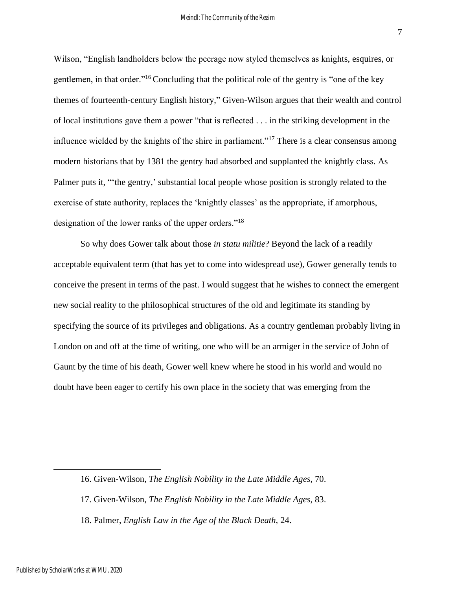Wilson, "English landholders below the peerage now styled themselves as knights, esquires, or gentlemen, in that order."<sup>16</sup> Concluding that the political role of the gentry is "one of the key themes of fourteenth-century English history," Given-Wilson argues that their wealth and control of local institutions gave them a power "that is reflected . . . in the striking development in the influence wielded by the knights of the shire in parliament."<sup>17</sup> There is a clear consensus among modern historians that by 1381 the gentry had absorbed and supplanted the knightly class. As Palmer puts it, "'the gentry,' substantial local people whose position is strongly related to the exercise of state authority, replaces the 'knightly classes' as the appropriate, if amorphous, designation of the lower ranks of the upper orders."<sup>18</sup>

So why does Gower talk about those *in statu militie*? Beyond the lack of a readily acceptable equivalent term (that has yet to come into widespread use), Gower generally tends to conceive the present in terms of the past. I would suggest that he wishes to connect the emergent new social reality to the philosophical structures of the old and legitimate its standing by specifying the source of its privileges and obligations. As a country gentleman probably living in London on and off at the time of writing, one who will be an armiger in the service of John of Gaunt by the time of his death, Gower well knew where he stood in his world and would no doubt have been eager to certify his own place in the society that was emerging from the

<sup>16.</sup> Given-Wilson, *The English Nobility in the Late Middle Ages*, 70.

<sup>17.</sup> Given-Wilson, *The English Nobility in the Late Middle Ages*, 83.

<sup>18.</sup> Palmer, *English Law in the Age of the Black Death,* 24.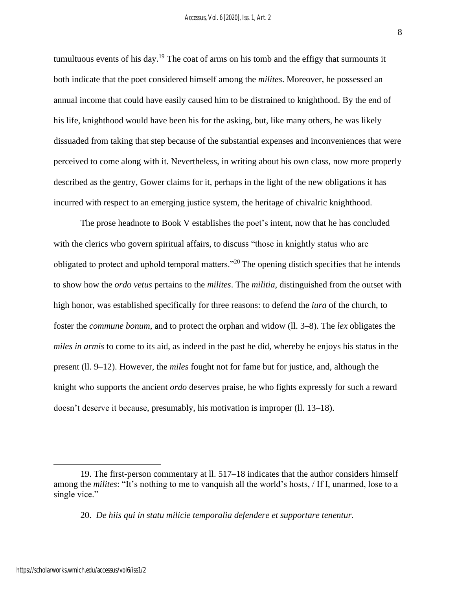tumultuous events of his day. <sup>19</sup> The coat of arms on his tomb and the effigy that surmounts it both indicate that the poet considered himself among the *milites*. Moreover, he possessed an annual income that could have easily caused him to be distrained to knighthood. By the end of his life, knighthood would have been his for the asking, but, like many others, he was likely dissuaded from taking that step because of the substantial expenses and inconveniences that were perceived to come along with it. Nevertheless, in writing about his own class, now more properly described as the gentry, Gower claims for it, perhaps in the light of the new obligations it has incurred with respect to an emerging justice system, the heritage of chivalric knighthood.

The prose headnote to Book V establishes the poet's intent, now that he has concluded with the clerics who govern spiritual affairs, to discuss "those in knightly status who are obligated to protect and uphold temporal matters."<sup>20</sup> The opening distich specifies that he intends to show how the *ordo vetus* pertains to the *milites*. The *militia*, distinguished from the outset with high honor, was established specifically for three reasons: to defend the *iura* of the church, to foster the *commune bonum*, and to protect the orphan and widow (ll. 3–8). The *lex* obligates the *miles in armis* to come to its aid, as indeed in the past he did, whereby he enjoys his status in the present (ll. 9–12). However, the *miles* fought not for fame but for justice, and, although the knight who supports the ancient *ordo* deserves praise, he who fights expressly for such a reward doesn't deserve it because, presumably, his motivation is improper (ll. 13–18).

8

<sup>19.</sup> The first-person commentary at ll. 517–18 indicates that the author considers himself among the *milites*: "It's nothing to me to vanquish all the world's hosts, / If I, unarmed, lose to a single vice."

<sup>20.</sup> *De hiis qui in statu milicie temporalia defendere et supportare tenentur.*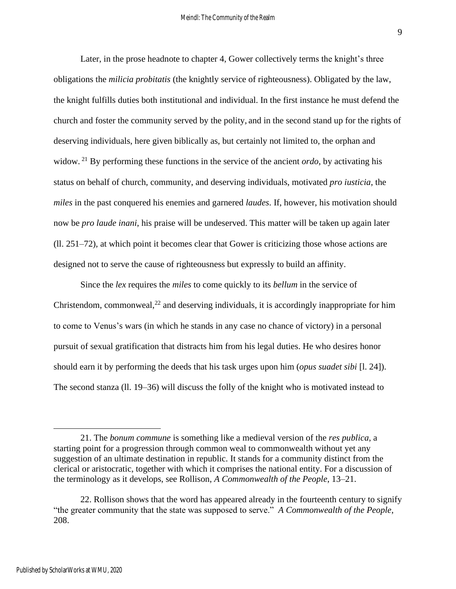Later, in the prose headnote to chapter 4, Gower collectively terms the knight's three obligations the *milicia probitatis* (the knightly service of righteousness). Obligated by the law, the knight fulfills duties both institutional and individual. In the first instance he must defend the church and foster the community served by the polity, and in the second stand up for the rights of deserving individuals, here given biblically as, but certainly not limited to, the orphan and widow. <sup>21</sup> By performing these functions in the service of the ancient *ordo*, by activating his status on behalf of church, community, and deserving individuals, motivated *pro iusticia*, the *miles* in the past conquered his enemies and garnered *laudes*. If, however, his motivation should now be *pro laude inani*, his praise will be undeserved. This matter will be taken up again later (ll. 251–72), at which point it becomes clear that Gower is criticizing those whose actions are designed not to serve the cause of righteousness but expressly to build an affinity.

Since the *lex* requires the *miles* to come quickly to its *bellum* in the service of Christendom, commonweal, $^{22}$  and deserving individuals, it is accordingly inappropriate for him to come to Venus's wars (in which he stands in any case no chance of victory) in a personal pursuit of sexual gratification that distracts him from his legal duties. He who desires honor should earn it by performing the deeds that his task urges upon him (*opus suadet sibi* [l. 24]). The second stanza (ll. 19–36) will discuss the folly of the knight who is motivated instead to

9

<sup>21.</sup> The *bonum commune* is something like a medieval version of the *res publica*, a starting point for a progression through common weal to commonwealth without yet any suggestion of an ultimate destination in republic. It stands for a community distinct from the clerical or aristocratic, together with which it comprises the national entity. For a discussion of the terminology as it develops, see Rollison, *A Commonwealth of the People*, 13–21.

<sup>22.</sup> Rollison shows that the word has appeared already in the fourteenth century to signify "the greater community that the state was supposed to serve." *A Commonwealth of the People*, 208.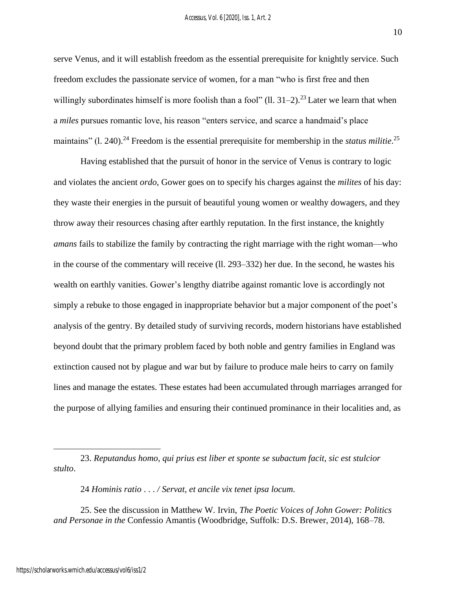serve Venus, and it will establish freedom as the essential prerequisite for knightly service. Such freedom excludes the passionate service of women, for a man "who is first free and then willingly subordinates himself is more foolish than a fool" (11,  $31-2$ ).<sup>23</sup> Later we learn that when a *miles* pursues romantic love, his reason "enters service, and scarce a handmaid's place maintains" (l. 240).<sup>24</sup> Freedom is the essential prerequisite for membership in the *status militie*.<sup>25</sup>

Having established that the pursuit of honor in the service of Venus is contrary to logic and violates the ancient *ordo*, Gower goes on to specify his charges against the *milites* of his day: they waste their energies in the pursuit of beautiful young women or wealthy dowagers, and they throw away their resources chasing after earthly reputation. In the first instance, the knightly *amans* fails to stabilize the family by contracting the right marriage with the right woman—who in the course of the commentary will receive (ll. 293–332) her due. In the second, he wastes his wealth on earthly vanities. Gower's lengthy diatribe against romantic love is accordingly not simply a rebuke to those engaged in inappropriate behavior but a major component of the poet's analysis of the gentry. By detailed study of surviving records, modern historians have established beyond doubt that the primary problem faced by both noble and gentry families in England was extinction caused not by plague and war but by failure to produce male heirs to carry on family lines and manage the estates. These estates had been accumulated through marriages arranged for the purpose of allying families and ensuring their continued prominance in their localities and, as

24 *Hominis ratio* . . . */ Servat, et ancile vix tenet ipsa locum.*

25. See the discussion in Matthew W. Irvin, *The Poetic Voices of John Gower: Politics and Personae in the* Confessio Amantis (Woodbridge, Suffolk: D.S. Brewer, 2014), 168–78.

<sup>23.</sup> *Reputandus homo, qui prius est liber et sponte se subactum facit, sic est stulcior stulto*.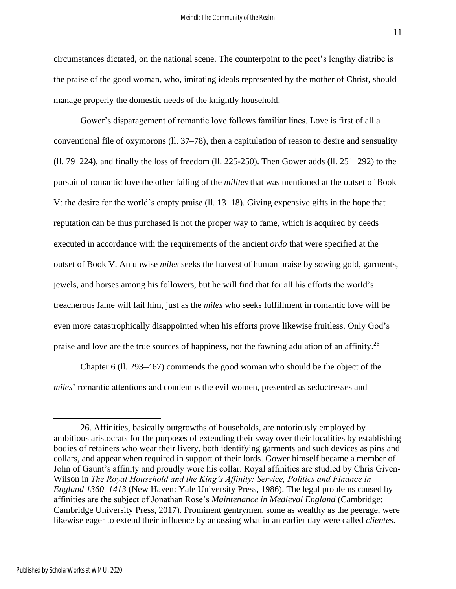circumstances dictated, on the national scene. The counterpoint to the poet's lengthy diatribe is the praise of the good woman, who, imitating ideals represented by the mother of Christ, should manage properly the domestic needs of the knightly household.

Gower's disparagement of romantic love follows familiar lines. Love is first of all a conventional file of oxymorons (ll. 37–78), then a capitulation of reason to desire and sensuality (ll. 79–224), and finally the loss of freedom (ll. 225-250). Then Gower adds (ll. 251–292) to the pursuit of romantic love the other failing of the *milites* that was mentioned at the outset of Book V: the desire for the world's empty praise (ll. 13–18). Giving expensive gifts in the hope that reputation can be thus purchased is not the proper way to fame, which is acquired by deeds executed in accordance with the requirements of the ancient *ordo* that were specified at the outset of Book V. An unwise *miles* seeks the harvest of human praise by sowing gold, garments, jewels, and horses among his followers, but he will find that for all his efforts the world's treacherous fame will fail him, just as the *miles* who seeks fulfillment in romantic love will be even more catastrophically disappointed when his efforts prove likewise fruitless. Only God's praise and love are the true sources of happiness, not the fawning adulation of an affinity.<sup>26</sup>

Chapter 6 (ll. 293–467) commends the good woman who should be the object of the *miles*' romantic attentions and condemns the evil women, presented as seductresses and

<sup>26.</sup> Affinities, basically outgrowths of households, are notoriously employed by ambitious aristocrats for the purposes of extending their sway over their localities by establishing bodies of retainers who wear their livery, both identifying garments and such devices as pins and collars, and appear when required in support of their lords. Gower himself became a member of John of Gaunt's affinity and proudly wore his collar. Royal affinities are studied by Chris Given-Wilson in *The Royal Household and the King's Affinity: Service, Politics and Finance in England 1360–1413* (New Haven: Yale University Press, 1986). The legal problems caused by affinities are the subject of Jonathan Rose's *Maintenance in Medieval England* (Cambridge: Cambridge University Press, 2017). Prominent gentrymen, some as wealthy as the peerage, were likewise eager to extend their influence by amassing what in an earlier day were called *clientes*.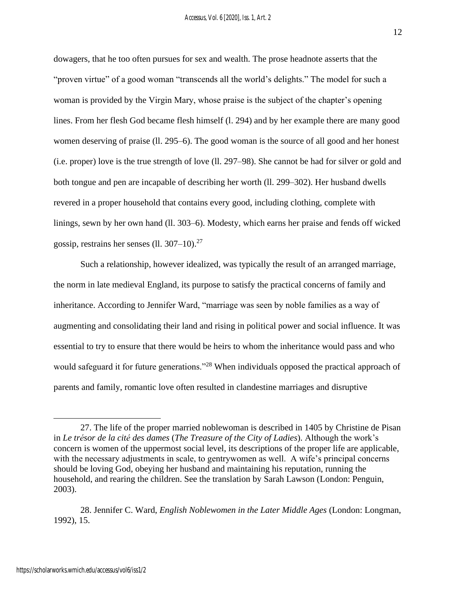dowagers, that he too often pursues for sex and wealth. The prose headnote asserts that the "proven virtue" of a good woman "transcends all the world's delights." The model for such a woman is provided by the Virgin Mary, whose praise is the subject of the chapter's opening lines. From her flesh God became flesh himself (l. 294) and by her example there are many good women deserving of praise (ll. 295–6). The good woman is the source of all good and her honest (i.e. proper) love is the true strength of love (ll. 297–98). She cannot be had for silver or gold and both tongue and pen are incapable of describing her worth (ll. 299–302). Her husband dwells revered in a proper household that contains every good, including clothing, complete with linings, sewn by her own hand (ll. 303–6). Modesty, which earns her praise and fends off wicked gossip, restrains her senses (ll.  $307-10$ ).<sup>27</sup>

Such a relationship, however idealized, was typically the result of an arranged marriage, the norm in late medieval England, its purpose to satisfy the practical concerns of family and inheritance. According to Jennifer Ward, "marriage was seen by noble families as a way of augmenting and consolidating their land and rising in political power and social influence. It was essential to try to ensure that there would be heirs to whom the inheritance would pass and who would safeguard it for future generations."<sup>28</sup> When individuals opposed the practical approach of parents and family, romantic love often resulted in clandestine marriages and disruptive

<sup>27.</sup> The life of the proper married noblewoman is described in 1405 by Christine de Pisan in *Le trésor de la cité des dames* (*The Treasure of the City of Ladies*). Although the work's concern is women of the uppermost social level, its descriptions of the proper life are applicable, with the necessary adjustments in scale, to gentrywomen as well. A wife's principal concerns should be loving God, obeying her husband and maintaining his reputation, running the household, and rearing the children. See the translation by Sarah Lawson (London: Penguin, 2003).

<sup>28.</sup> Jennifer C. Ward, *English Noblewomen in the Later Middle Ages* (London: Longman, 1992), 15.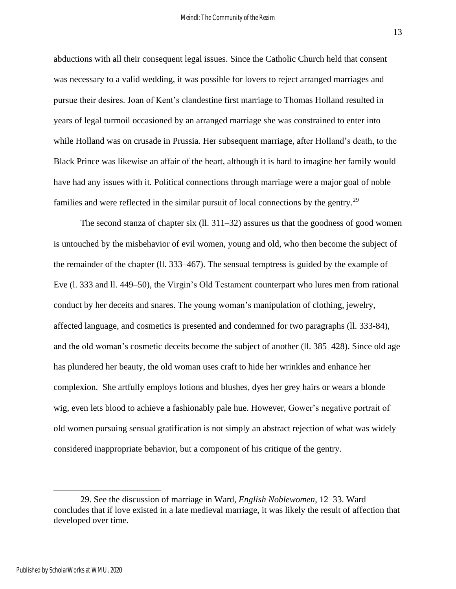abductions with all their consequent legal issues. Since the Catholic Church held that consent was necessary to a valid wedding, it was possible for lovers to reject arranged marriages and pursue their desires. Joan of Kent's clandestine first marriage to Thomas Holland resulted in years of legal turmoil occasioned by an arranged marriage she was constrained to enter into while Holland was on crusade in Prussia. Her subsequent marriage, after Holland's death, to the Black Prince was likewise an affair of the heart, although it is hard to imagine her family would have had any issues with it. Political connections through marriage were a major goal of noble families and were reflected in the similar pursuit of local connections by the gentry.<sup>29</sup>

The second stanza of chapter six (ll. 311–32) assures us that the goodness of good women is untouched by the misbehavior of evil women, young and old, who then become the subject of the remainder of the chapter (ll. 333–467). The sensual temptress is guided by the example of Eve (l. 333 and ll. 449–50), the Virgin's Old Testament counterpart who lures men from rational conduct by her deceits and snares. The young woman's manipulation of clothing, jewelry, affected language, and cosmetics is presented and condemned for two paragraphs (ll. 333-84), and the old woman's cosmetic deceits become the subject of another (ll. 385–428). Since old age has plundered her beauty, the old woman uses craft to hide her wrinkles and enhance her complexion. She artfully employs lotions and blushes, dyes her grey hairs or wears a blonde wig, even lets blood to achieve a fashionably pale hue. However, Gower's negative portrait of old women pursuing sensual gratification is not simply an abstract rejection of what was widely considered inappropriate behavior, but a component of his critique of the gentry.

<sup>29.</sup> See the discussion of marriage in Ward, *English Noblewomen*, 12–33. Ward concludes that if love existed in a late medieval marriage, it was likely the result of affection that developed over time.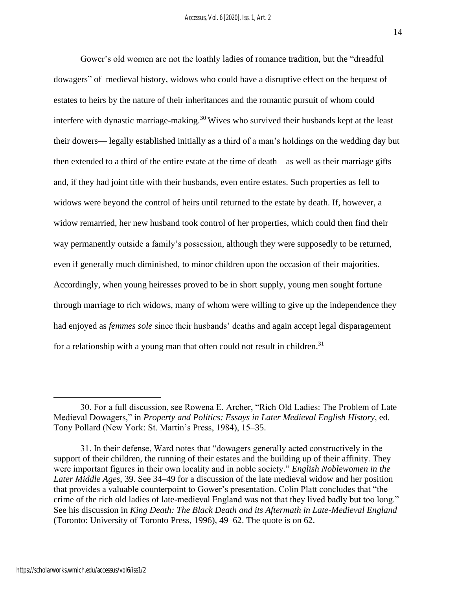Gower's old women are not the loathly ladies of romance tradition, but the "dreadful dowagers" of medieval history, widows who could have a disruptive effect on the bequest of estates to heirs by the nature of their inheritances and the romantic pursuit of whom could interfere with dynastic marriage-making. <sup>30</sup> Wives who survived their husbands kept at the least their dowers— legally established initially as a third of a man's holdings on the wedding day but then extended to a third of the entire estate at the time of death—as well as their marriage gifts and, if they had joint title with their husbands, even entire estates. Such properties as fell to widows were beyond the control of heirs until returned to the estate by death. If, however, a widow remarried, her new husband took control of her properties, which could then find their way permanently outside a family's possession, although they were supposedly to be returned, even if generally much diminished, to minor children upon the occasion of their majorities. Accordingly, when young heiresses proved to be in short supply, young men sought fortune through marriage to rich widows, many of whom were willing to give up the independence they had enjoyed as *femmes sole* since their husbands' deaths and again accept legal disparagement for a relationship with a young man that often could not result in children.<sup>31</sup>

<sup>30.</sup> For a full discussion, see Rowena E. Archer, "Rich Old Ladies: The Problem of Late Medieval Dowagers," in *Property and Politics: Essays in Later Medieval English History*, ed. Tony Pollard (New York: St. Martin's Press, 1984), 15–35.

<sup>31.</sup> In their defense, Ward notes that "dowagers generally acted constructively in the support of their children, the running of their estates and the building up of their affinity. They were important figures in their own locality and in noble society." *English Noblewomen in the Later Middle Ages*, 39. See 34–49 for a discussion of the late medieval widow and her position that provides a valuable counterpoint to Gower's presentation. Colin Platt concludes that "the crime of the rich old ladies of late-medieval England was not that they lived badly but too long." See his discussion in *King Death: The Black Death and its Aftermath in Late-Medieval England*  (Toronto: University of Toronto Press, 1996), 49–62. The quote is on 62.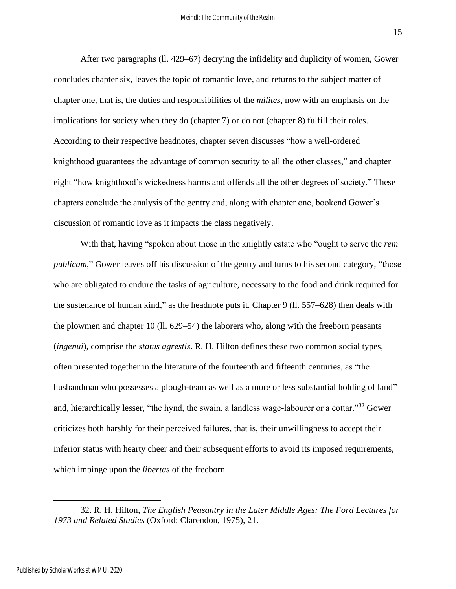After two paragraphs (ll. 429–67) decrying the infidelity and duplicity of women, Gower concludes chapter six, leaves the topic of romantic love, and returns to the subject matter of chapter one, that is, the duties and responsibilities of the *milites*, now with an emphasis on the implications for society when they do (chapter 7) or do not (chapter 8) fulfill their roles. According to their respective headnotes, chapter seven discusses "how a well-ordered knighthood guarantees the advantage of common security to all the other classes," and chapter eight "how knighthood's wickedness harms and offends all the other degrees of society." These chapters conclude the analysis of the gentry and, along with chapter one, bookend Gower's discussion of romantic love as it impacts the class negatively.

With that, having "spoken about those in the knightly estate who "ought to serve the *rem publicam*," Gower leaves off his discussion of the gentry and turns to his second category, "those who are obligated to endure the tasks of agriculture, necessary to the food and drink required for the sustenance of human kind," as the headnote puts it. Chapter 9 (ll. 557–628) then deals with the plowmen and chapter 10 (ll. 629–54) the laborers who, along with the freeborn peasants (*ingenui*), comprise the *status agrestis*. R. H. Hilton defines these two common social types, often presented together in the literature of the fourteenth and fifteenth centuries, as "the husbandman who possesses a plough-team as well as a more or less substantial holding of land" and, hierarchically lesser, "the hynd, the swain, a landless wage-labourer or a cottar."<sup>32</sup> Gower criticizes both harshly for their perceived failures, that is, their unwillingness to accept their inferior status with hearty cheer and their subsequent efforts to avoid its imposed requirements, which impinge upon the *libertas* of the freeborn.

<sup>32.</sup> R. H. Hilton, *The English Peasantry in the Later Middle Ages: The Ford Lectures for 1973 and Related Studies* (Oxford: Clarendon, 1975), 21.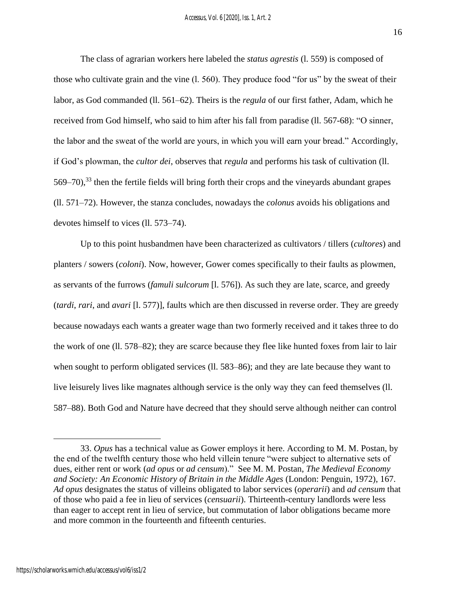The class of agrarian workers here labeled the *status agrestis* (l. 559) is composed of those who cultivate grain and the vine (l. 560). They produce food "for us" by the sweat of their labor, as God commanded (ll. 561–62). Theirs is the *regula* of our first father, Adam, which he received from God himself, who said to him after his fall from paradise (ll. 567-68): "O sinner, the labor and the sweat of the world are yours, in which you will earn your bread." Accordingly, if God's plowman, the *cultor dei*, observes that *regula* and performs his task of cultivation (ll.  $569-70$ ),<sup>33</sup> then the fertile fields will bring forth their crops and the vineyards abundant grapes (ll. 571–72). However, the stanza concludes, nowadays the *colonus* avoids his obligations and devotes himself to vices (ll. 573–74).

Up to this point husbandmen have been characterized as cultivators / tillers (*cultores*) and planters / sowers (*coloni*). Now, however, Gower comes specifically to their faults as plowmen, as servants of the furrows (*famuli sulcorum* [l. 576]). As such they are late, scarce, and greedy (*tardi*, *rari*, and *avari* [l. 577)], faults which are then discussed in reverse order. They are greedy because nowadays each wants a greater wage than two formerly received and it takes three to do the work of one (ll. 578–82); they are scarce because they flee like hunted foxes from lair to lair when sought to perform obligated services (ll. 583–86); and they are late because they want to live leisurely lives like magnates although service is the only way they can feed themselves (ll. 587–88). Both God and Nature have decreed that they should serve although neither can control

<sup>33.</sup> *Opus* has a technical value as Gower employs it here. According to M. M. Postan, by the end of the twelfth century those who held villein tenure "were subject to alternative sets of dues, either rent or work (*ad opus* or *ad censum*)." See M. M. Postan, *The Medieval Economy and Society: An Economic History of Britain in the Middle Ages* (London: Penguin, 1972), 167. *Ad opus* designates the status of villeins obligated to labor services (*operarii*) and *ad censum* that of those who paid a fee in lieu of services (*censuarii*). Thirteenth-century landlords were less than eager to accept rent in lieu of service, but commutation of labor obligations became more and more common in the fourteenth and fifteenth centuries.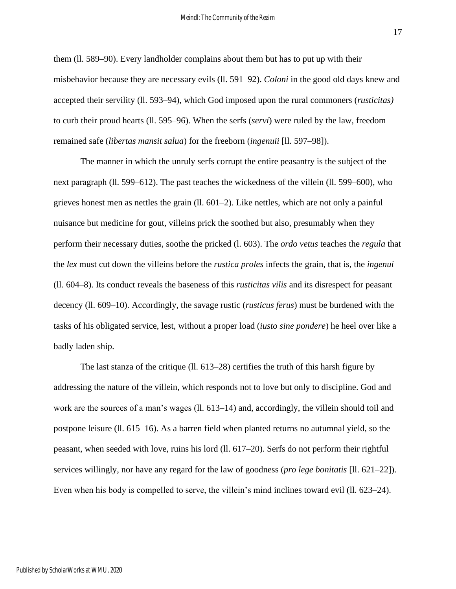them (ll. 589–90). Every landholder complains about them but has to put up with their misbehavior because they are necessary evils (ll. 591–92). *Coloni* in the good old days knew and accepted their servility (ll. 593–94), which God imposed upon the rural commoners (*rusticitas)* to curb their proud hearts (ll. 595–96). When the serfs (*servi*) were ruled by the law, freedom remained safe (*libertas mansit salua*) for the freeborn (*ingenuii* [ll. 597–98]).

The manner in which the unruly serfs corrupt the entire peasantry is the subject of the next paragraph (ll. 599–612). The past teaches the wickedness of the villein (ll. 599–600), who grieves honest men as nettles the grain (ll. 601–2). Like nettles, which are not only a painful nuisance but medicine for gout, villeins prick the soothed but also, presumably when they perform their necessary duties, soothe the pricked (l. 603). The *ordo vetus* teaches the *regula* that the *lex* must cut down the villeins before the *rustica proles* infects the grain, that is, the *ingenui* (ll. 604–8). Its conduct reveals the baseness of this *rusticitas vilis* and its disrespect for peasant decency (ll. 609–10). Accordingly, the savage rustic (*rusticus ferus*) must be burdened with the tasks of his obligated service, lest, without a proper load (*iusto sine pondere*) he heel over like a badly laden ship.

The last stanza of the critique (ll. 613–28) certifies the truth of this harsh figure by addressing the nature of the villein, which responds not to love but only to discipline. God and work are the sources of a man's wages (ll. 613–14) and, accordingly, the villein should toil and postpone leisure (ll. 615–16). As a barren field when planted returns no autumnal yield, so the peasant, when seeded with love, ruins his lord (ll. 617–20). Serfs do not perform their rightful services willingly, nor have any regard for the law of goodness (*pro lege bonitatis* [ll. 621–22]). Even when his body is compelled to serve, the villein's mind inclines toward evil (ll. 623–24).

Published by ScholarWorks at WMU, 2020

17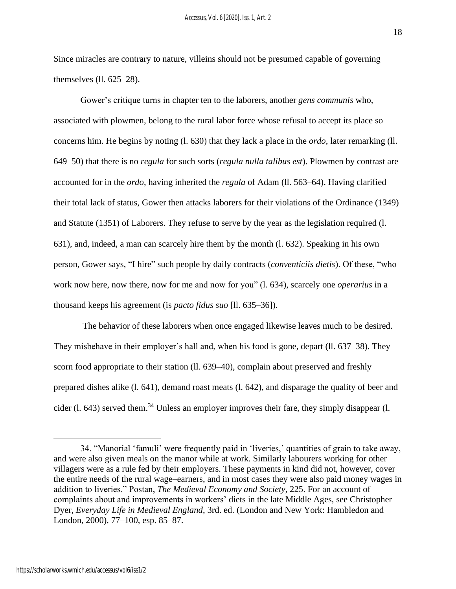Since miracles are contrary to nature, villeins should not be presumed capable of governing themselves (ll. 625–28).

Gower's critique turns in chapter ten to the laborers, another *gens communis* who, associated with plowmen, belong to the rural labor force whose refusal to accept its place so concerns him. He begins by noting (l. 630) that they lack a place in the *ordo*, later remarking (ll. 649–50) that there is no *regula* for such sorts (*regula nulla talibus est*). Plowmen by contrast are accounted for in the *ordo*, having inherited the *regula* of Adam (ll. 563–64). Having clarified their total lack of status, Gower then attacks laborers for their violations of the Ordinance (1349) and Statute (1351) of Laborers. They refuse to serve by the year as the legislation required (l. 631), and, indeed, a man can scarcely hire them by the month (l. 632). Speaking in his own person, Gower says, "I hire" such people by daily contracts (*conventiciis dietis*). Of these, "who work now here, now there, now for me and now for you" (l. 634), scarcely one *operarius* in a thousand keeps his agreement (is *pacto fidus suo* [ll. 635–36]).

The behavior of these laborers when once engaged likewise leaves much to be desired. They misbehave in their employer's hall and, when his food is gone, depart (ll. 637–38). They scorn food appropriate to their station (ll. 639–40), complain about preserved and freshly prepared dishes alike (l. 641), demand roast meats (l. 642), and disparage the quality of beer and cider (1. 643) served them.<sup>34</sup> Unless an employer improves their fare, they simply disappear (1.

18

<sup>34. &</sup>quot;Manorial 'famuli' were frequently paid in 'liveries,' quantities of grain to take away, and were also given meals on the manor while at work. Similarly labourers working for other villagers were as a rule fed by their employers. These payments in kind did not, however, cover the entire needs of the rural wage–earners, and in most cases they were also paid money wages in addition to liveries." Postan, *The Medieval Economy and Society*, 225. For an account of complaints about and improvements in workers' diets in the late Middle Ages, see Christopher Dyer, *Everyday Life in Medieval England*, 3rd. ed. (London and New York: Hambledon and London, 2000), 77–100, esp. 85–87.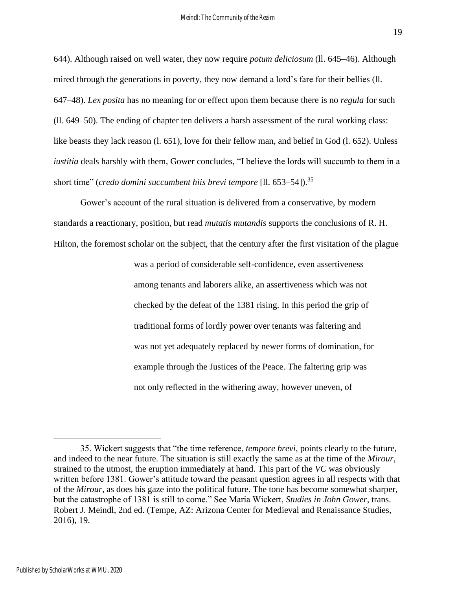644). Although raised on well water, they now require *potum deliciosum* (ll. 645–46). Although mired through the generations in poverty, they now demand a lord's fare for their bellies (ll. 647–48). *Lex posita* has no meaning for or effect upon them because there is no *regula* for such (ll. 649–50). The ending of chapter ten delivers a harsh assessment of the rural working class: like beasts they lack reason (l. 651), love for their fellow man, and belief in God (l. 652). Unless *iustitia* deals harshly with them, Gower concludes, "I believe the lords will succumb to them in a short time" (*credo domini succumbent hiis brevi tempore* [ll. 653–54]).<sup>35</sup>

Gower's account of the rural situation is delivered from a conservative, by modern standards a reactionary, position, but read *mutatis mutandis* supports the conclusions of R. H. Hilton, the foremost scholar on the subject, that the century after the first visitation of the plague

> was a period of considerable self-confidence, even assertiveness among tenants and laborers alike, an assertiveness which was not checked by the defeat of the 1381 rising. In this period the grip of traditional forms of lordly power over tenants was faltering and was not yet adequately replaced by newer forms of domination, for example through the Justices of the Peace. The faltering grip was not only reflected in the withering away, however uneven, of

<sup>35.</sup> Wickert suggests that "the time reference, *tempore brevi*, points clearly to the future, and indeed to the near future. The situation is still exactly the same as at the time of the *Mirour*, strained to the utmost, the eruption immediately at hand. This part of the *VC* was obviously written before 1381. Gower's attitude toward the peasant question agrees in all respects with that of the *Mirour*, as does his gaze into the political future. The tone has become somewhat sharper, but the catastrophe of 1381 is still to come." See Maria Wickert, *Studies in John Gower*, trans. Robert J. Meindl, 2nd ed. (Tempe, AZ: Arizona Center for Medieval and Renaissance Studies, 2016), 19.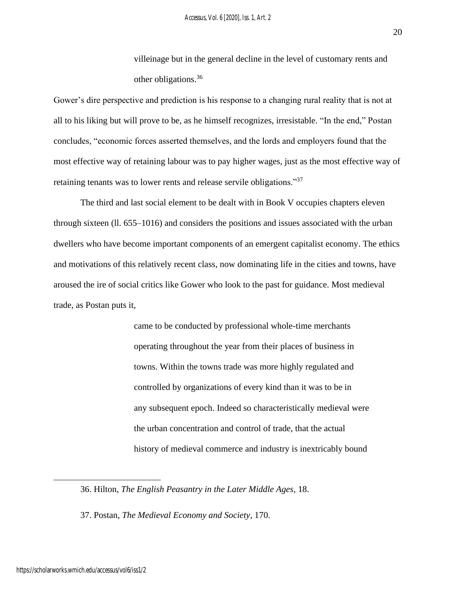villeinage but in the general decline in the level of customary rents and other obligations.<sup>36</sup>

Gower's dire perspective and prediction is his response to a changing rural reality that is not at all to his liking but will prove to be, as he himself recognizes, irresistable. "In the end," Postan concludes, "economic forces asserted themselves, and the lords and employers found that the most effective way of retaining labour was to pay higher wages, just as the most effective way of retaining tenants was to lower rents and release servile obligations."<sup>37</sup>

The third and last social element to be dealt with in Book V occupies chapters eleven through sixteen (ll. 655–1016) and considers the positions and issues associated with the urban dwellers who have become important components of an emergent capitalist economy. The ethics and motivations of this relatively recent class, now dominating life in the cities and towns, have aroused the ire of social critics like Gower who look to the past for guidance. Most medieval trade, as Postan puts it,

> came to be conducted by professional whole-time merchants operating throughout the year from their places of business in towns. Within the towns trade was more highly regulated and controlled by organizations of every kind than it was to be in any subsequent epoch. Indeed so characteristically medieval were the urban concentration and control of trade, that the actual history of medieval commerce and industry is inextricably bound

<sup>36.</sup> Hilton, *The English Peasantry in the Later Middle Ages*, 18.

<sup>37.</sup> Postan, *The Medieval Economy and Society*, 170.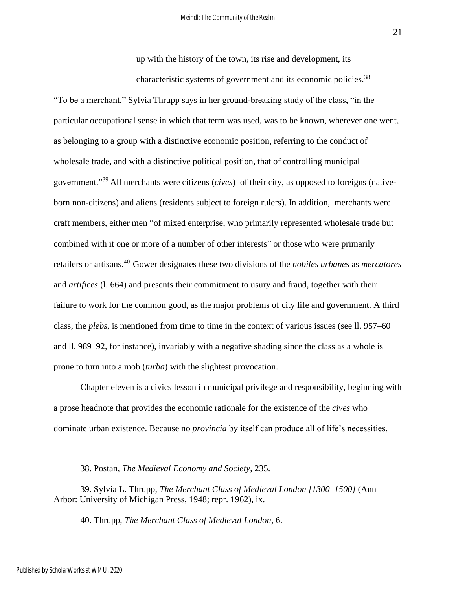up with the history of the town, its rise and development, its characteristic systems of government and its economic policies.<sup>38</sup>

"To be a merchant," Sylvia Thrupp says in her ground-breaking study of the class, "in the particular occupational sense in which that term was used, was to be known, wherever one went, as belonging to a group with a distinctive economic position, referring to the conduct of wholesale trade, and with a distinctive political position, that of controlling municipal government."<sup>39</sup> All merchants were citizens (*cives*) of their city, as opposed to foreigns (nativeborn non-citizens) and aliens (residents subject to foreign rulers). In addition, merchants were craft members, either men "of mixed enterprise, who primarily represented wholesale trade but combined with it one or more of a number of other interests" or those who were primarily retailers or artisans. <sup>40</sup> Gower designates these two divisions of the *nobiles urbanes* as *mercatores*  and *artifices* (l. 664) and presents their commitment to usury and fraud, together with their failure to work for the common good, as the major problems of city life and government. A third class, the *plebs*, is mentioned from time to time in the context of various issues (see ll. 957–60 and ll. 989–92, for instance), invariably with a negative shading since the class as a whole is prone to turn into a mob (*turba*) with the slightest provocation.

Chapter eleven is a civics lesson in municipal privilege and responsibility, beginning with a prose headnote that provides the economic rationale for the existence of the *cives* who dominate urban existence. Because no *provincia* by itself can produce all of life's necessities,

<sup>38.</sup> Postan, *The Medieval Economy and Society*, 235.

<sup>39.</sup> Sylvia L. Thrupp, *The Merchant Class of Medieval London [1300–1500]* (Ann Arbor: University of Michigan Press, 1948; repr. 1962), ix.

<sup>40.</sup> Thrupp, *The Merchant Class of Medieval London*, 6.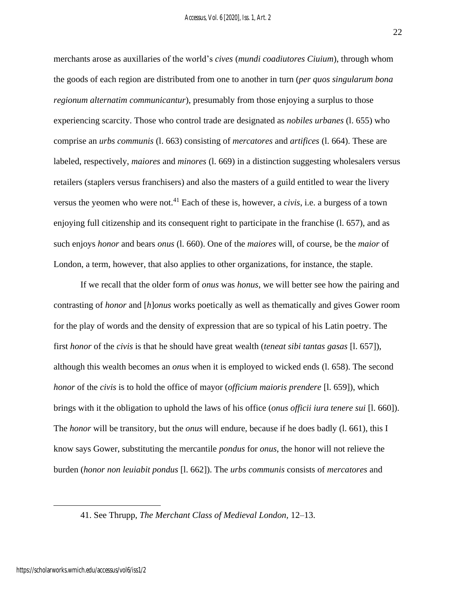22

merchants arose as auxillaries of the world's *cives* (*mundi coadiutores Ciuium*), through whom the goods of each region are distributed from one to another in turn (*per quos singularum bona regionum alternatim communicantur*), presumably from those enjoying a surplus to those experiencing scarcity. Those who control trade are designated as *nobiles urbanes* (l. 655) who comprise an *urbs communis* (l. 663) consisting of *mercatores* and *artifices* (l. 664). These are labeled, respectively, *maiores* and *minores* (l. 669) in a distinction suggesting wholesalers versus retailers (staplers versus franchisers) and also the masters of a guild entitled to wear the livery versus the yeomen who were not. <sup>41</sup> Each of these is, however, a *civis*, i.e. a burgess of a town enjoying full citizenship and its consequent right to participate in the franchise (l. 657), and as such enjoys *honor* and bears *onus* (l. 660). One of the *maiores* will, of course, be the *maior* of London, a term, however, that also applies to other organizations, for instance, the staple.

If we recall that the older form of *onus* was *honus*, we will better see how the pairing and contrasting of *honor* and [*h*]*onus* works poetically as well as thematically and gives Gower room for the play of words and the density of expression that are so typical of his Latin poetry. The first *honor* of the *civis* is that he should have great wealth (*teneat sibi tantas gasas* [l. 657]), although this wealth becomes an *onus* when it is employed to wicked ends (l. 658). The second *honor* of the *civis* is to hold the office of mayor (*officium maioris prendere* [l. 659]), which brings with it the obligation to uphold the laws of his office (*onus officii iura tenere sui* [l. 660]). The *honor* will be transitory, but the *onus* will endure, because if he does badly (l. 661), this I know says Gower, substituting the mercantile *pondus* for *onus*, the honor will not relieve the burden (*honor non leuiabit pondus* [l. 662]). The *urbs communis* consists of *mercatores* and

<sup>41.</sup> See Thrupp, *The Merchant Class of Medieval London,* 12–13.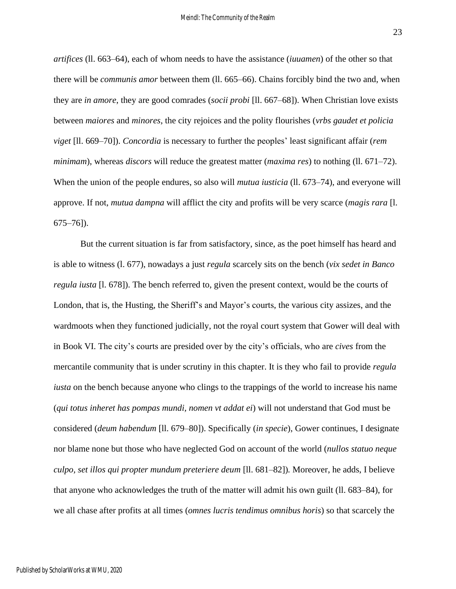23

*artifices* (ll. 663–64), each of whom needs to have the assistance (*iuuamen*) of the other so that there will be *communis amor* between them (ll. 665–66). Chains forcibly bind the two and, when they are *in amore*, they are good comrades (*socii probi* [ll. 667–68]). When Christian love exists between *maiores* and *minores*, the city rejoices and the polity flourishes (*vrbs gaudet et policia viget* [ll. 669–70]). *Concordia* is necessary to further the peoples' least significant affair (*rem minimam*), whereas *discors* will reduce the greatest matter (*maxima res*) to nothing (ll. 671–72). When the union of the people endures, so also will *mutua iusticia* (11.673–74), and everyone will approve. If not, *mutua dampna* will afflict the city and profits will be very scarce (*magis rara* [l. 675–76]).

But the current situation is far from satisfactory, since, as the poet himself has heard and is able to witness (l. 677), nowadays a just *regula* scarcely sits on the bench (*vix sedet in Banco regula iusta* [l. 678]). The bench referred to, given the present context, would be the courts of London, that is, the Husting, the Sheriff's and Mayor's courts, the various city assizes, and the wardmoots when they functioned judicially, not the royal court system that Gower will deal with in Book VI. The city's courts are presided over by the city's officials, who are *cives* from the mercantile community that is under scrutiny in this chapter. It is they who fail to provide *regula iusta* on the bench because anyone who clings to the trappings of the world to increase his name (*qui totus inheret has pompas mundi, nomen vt addat ei*) will not understand that God must be considered (*deum habendum* [ll. 679–80]). Specifically (*in specie*), Gower continues, I designate nor blame none but those who have neglected God on account of the world (*nullos statuo neque culpo, set illos qui propter mundum preteriere deum* [ll. 681–82])*.* Moreover, he adds, I believe that anyone who acknowledges the truth of the matter will admit his own guilt (ll. 683–84), for we all chase after profits at all times (*omnes lucris tendimus omnibus horis*) so that scarcely the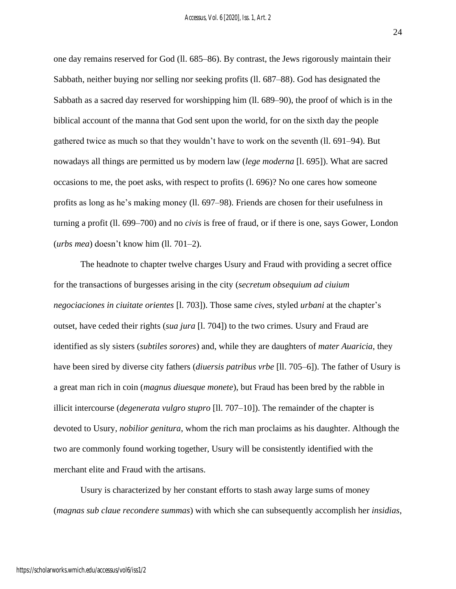one day remains reserved for God (ll. 685–86). By contrast, the Jews rigorously maintain their Sabbath, neither buying nor selling nor seeking profits (ll. 687–88). God has designated the Sabbath as a sacred day reserved for worshipping him (ll. 689–90), the proof of which is in the biblical account of the manna that God sent upon the world, for on the sixth day the people gathered twice as much so that they wouldn't have to work on the seventh (ll. 691–94). But nowadays all things are permitted us by modern law (*lege moderna* [l. 695]). What are sacred occasions to me, the poet asks, with respect to profits (l. 696)? No one cares how someone profits as long as he's making money (ll. 697–98). Friends are chosen for their usefulness in turning a profit (ll. 699–700) and no *civis* is free of fraud, or if there is one, says Gower, London

(*urbs mea*) doesn't know him (ll. 701–2).

The headnote to chapter twelve charges Usury and Fraud with providing a secret office for the transactions of burgesses arising in the city (*secretum obsequium ad ciuium negociaciones in ciuitate orientes* [l. 703]). Those same *cives*, styled *urbani* at the chapter's outset*,* have ceded their rights (*sua jura* [l. 704]) to the two crimes. Usury and Fraud are identified as sly sisters (*subtiles sorores*) and, while they are daughters of *mater Auaricia*, they have been sired by diverse city fathers (*diuersis patribus vrbe* [ll. 705–6]). The father of Usury is a great man rich in coin (*magnus diuesque monete*), but Fraud has been bred by the rabble in illicit intercourse (*degenerata vulgro stupro* [ll. 707–10]). The remainder of the chapter is devoted to Usury, *nobilior genitura*, whom the rich man proclaims as his daughter. Although the two are commonly found working together, Usury will be consistently identified with the merchant elite and Fraud with the artisans.

Usury is characterized by her constant efforts to stash away large sums of money (*magnas sub claue recondere summas*) with which she can subsequently accomplish her *insidias*,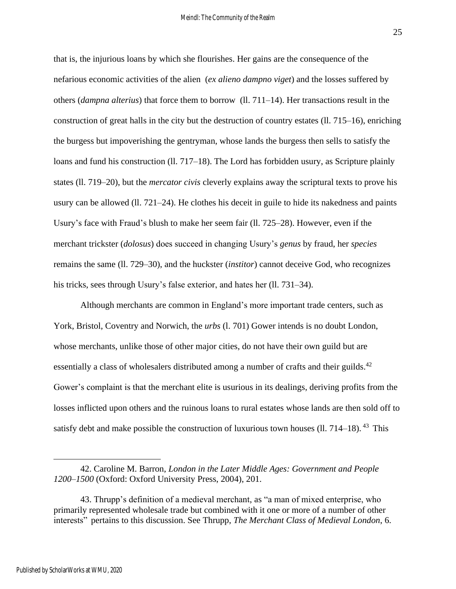that is, the injurious loans by which she flourishes. Her gains are the consequence of the nefarious economic activities of the alien (*ex alieno dampno viget*) and the losses suffered by others (*dampna alterius*) that force them to borrow (ll. 711–14). Her transactions result in the construction of great halls in the city but the destruction of country estates (ll. 715–16), enriching the burgess but impoverishing the gentryman, whose lands the burgess then sells to satisfy the loans and fund his construction (ll. 717–18). The Lord has forbidden usury, as Scripture plainly states (ll. 719–20), but the *mercator civis* cleverly explains away the scriptural texts to prove his usury can be allowed (ll. 721–24). He clothes his deceit in guile to hide its nakedness and paints Usury's face with Fraud's blush to make her seem fair (ll. 725–28). However, even if the merchant trickster (*dolosus*) does succeed in changing Usury's *genus* by fraud, her *species*  remains the same (ll. 729–30), and the huckster (*institor*) cannot deceive God, who recognizes his tricks, sees through Usury's false exterior, and hates her (ll. 731–34).

Although merchants are common in England's more important trade centers, such as York, Bristol, Coventry and Norwich, the *urbs* (l. 701) Gower intends is no doubt London, whose merchants, unlike those of other major cities, do not have their own guild but are essentially a class of wholesalers distributed among a number of crafts and their guilds.<sup>42</sup> Gower's complaint is that the merchant elite is usurious in its dealings, deriving profits from the losses inflicted upon others and the ruinous loans to rural estates whose lands are then sold off to satisfy debt and make possible the construction of luxurious town houses (ll.  $714-18$ ). <sup>43</sup> This

<sup>42.</sup> Caroline M. Barron, *London in the Later Middle Ages: Government and People 1200–1500* (Oxford: Oxford University Press, 2004), 201.

<sup>43.</sup> Thrupp's definition of a medieval merchant, as "a man of mixed enterprise, who primarily represented wholesale trade but combined with it one or more of a number of other interests" pertains to this discussion. See Thrupp, *The Merchant Class of Medieval London*, 6.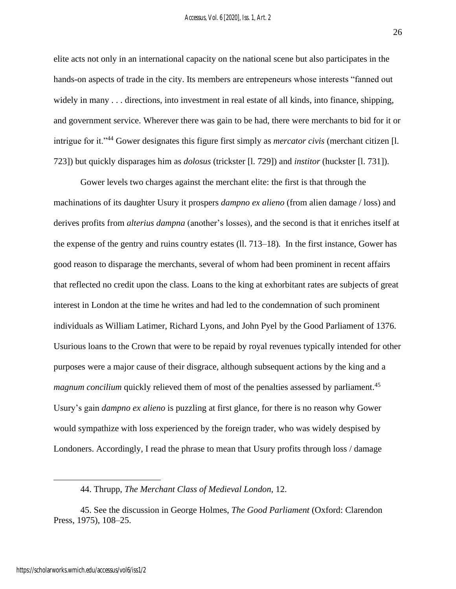26

elite acts not only in an international capacity on the national scene but also participates in the hands-on aspects of trade in the city. Its members are entrepeneurs whose interests "fanned out widely in many . . . directions, into investment in real estate of all kinds, into finance, shipping, and government service. Wherever there was gain to be had, there were merchants to bid for it or intrigue for it."<sup>44</sup> Gower designates this figure first simply as *mercator civis* (merchant citizen [l. 723]) but quickly disparages him as *dolosus* (trickster [l. 729]) and *institor* (huckster [l. 731]).

Gower levels two charges against the merchant elite: the first is that through the machinations of its daughter Usury it prospers *dampno ex alieno* (from alien damage / loss) and derives profits from *alterius dampna* (another's losses), and the second is that it enriches itself at the expense of the gentry and ruins country estates (ll. 713–18)*.* In the first instance, Gower has good reason to disparage the merchants, several of whom had been prominent in recent affairs that reflected no credit upon the class. Loans to the king at exhorbitant rates are subjects of great interest in London at the time he writes and had led to the condemnation of such prominent individuals as William Latimer, Richard Lyons, and John Pyel by the Good Parliament of 1376. Usurious loans to the Crown that were to be repaid by royal revenues typically intended for other purposes were a major cause of their disgrace, although subsequent actions by the king and a *magnum concilium* quickly relieved them of most of the penalties assessed by parliament.<sup>45</sup> Usury's gain *dampno ex alieno* is puzzling at first glance, for there is no reason why Gower would sympathize with loss experienced by the foreign trader, who was widely despised by Londoners. Accordingly, I read the phrase to mean that Usury profits through loss / damage

<sup>44.</sup> Thrupp, *The Merchant Class of Medieval London,* 12.

<sup>45.</sup> See the discussion in George Holmes, *The Good Parliament* (Oxford: Clarendon Press, 1975), 108–25.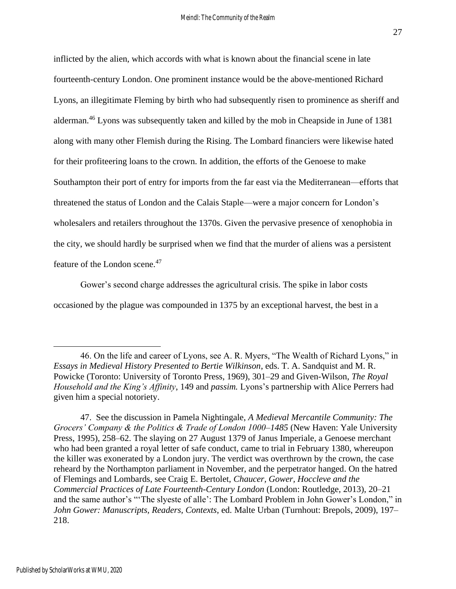inflicted by the alien, which accords with what is known about the financial scene in late fourteenth-century London. One prominent instance would be the above-mentioned Richard Lyons, an illegitimate Fleming by birth who had subsequently risen to prominence as sheriff and alderman.<sup>46</sup> Lyons was subsequently taken and killed by the mob in Cheapside in June of 1381 along with many other Flemish during the Rising. The Lombard financiers were likewise hated for their profiteering loans to the crown. In addition, the efforts of the Genoese to make Southampton their port of entry for imports from the far east via the Mediterranean—efforts that threatened the status of London and the Calais Staple—were a major concern for London's wholesalers and retailers throughout the 1370s. Given the pervasive presence of xenophobia in the city, we should hardly be surprised when we find that the murder of aliens was a persistent feature of the London scene.<sup>47</sup>

Gower's second charge addresses the agricultural crisis. The spike in labor costs occasioned by the plague was compounded in 1375 by an exceptional harvest, the best in a

<sup>46.</sup> On the life and career of Lyons, see A. R. Myers, "The Wealth of Richard Lyons," in *Essays in Medieval History Presented to Bertie Wilkinson*, eds. T. A. Sandquist and M. R. Powicke (Toronto: University of Toronto Press, 1969), 301–29 and Given-Wilson, *The Royal Household and the King's Affinity*, 149 and *passim.* Lyons's partnership with Alice Perrers had given him a special notoriety.

<sup>47.</sup> See the discussion in Pamela Nightingale, *A Medieval Mercantile Community: The Grocers' Company & the Politics & Trade of London 1000–1485* (New Haven: Yale University Press, 1995), 258–62. The slaying on 27 August 1379 of Janus Imperiale, a Genoese merchant who had been granted a royal letter of safe conduct, came to trial in February 1380, whereupon the killer was exonerated by a London jury. The verdict was overthrown by the crown, the case reheard by the Northampton parliament in November, and the perpetrator hanged. On the hatred of Flemings and Lombards, see Craig E. Bertolet, *Chaucer, Gower, Hoccleve and the Commercial Practices of Late Fourteenth-Century London* (London: Routledge, 2013), 20–21 and the same author's "'The slyeste of alle': The Lombard Problem in John Gower's London," in *John Gower: Manuscripts, Readers, Contexts*, ed. Malte Urban (Turnhout: Brepols, 2009), 197– 218.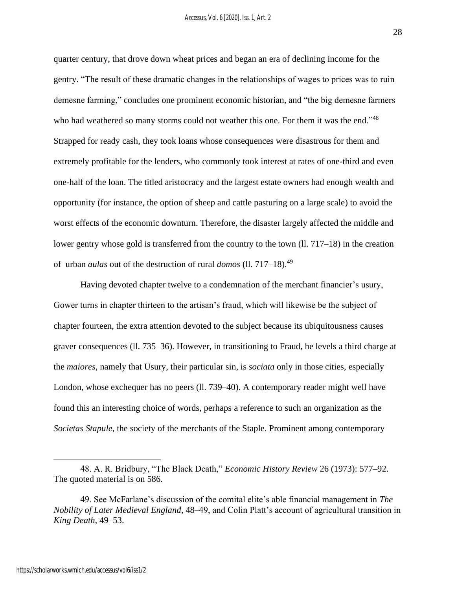quarter century, that drove down wheat prices and began an era of declining income for the gentry. "The result of these dramatic changes in the relationships of wages to prices was to ruin demesne farming," concludes one prominent economic historian, and "the big demesne farmers who had weathered so many storms could not weather this one. For them it was the end."<sup>48</sup> Strapped for ready cash, they took loans whose consequences were disastrous for them and extremely profitable for the lenders, who commonly took interest at rates of one-third and even one-half of the loan. The titled aristocracy and the largest estate owners had enough wealth and opportunity (for instance, the option of sheep and cattle pasturing on a large scale) to avoid the worst effects of the economic downturn. Therefore, the disaster largely affected the middle and lower gentry whose gold is transferred from the country to the town (ll. 717–18) in the creation of urban *aulas* out of the destruction of rural *domos* (ll. 717–18). 49

Having devoted chapter twelve to a condemnation of the merchant financier's usury, Gower turns in chapter thirteen to the artisan's fraud, which will likewise be the subject of chapter fourteen, the extra attention devoted to the subject because its ubiquitousness causes graver consequences (ll. 735–36). However, in transitioning to Fraud, he levels a third charge at the *maiores*, namely that Usury, their particular sin, is *sociata* only in those cities, especially London, whose exchequer has no peers (ll. 739–40). A contemporary reader might well have found this an interesting choice of words, perhaps a reference to such an organization as the *Societas Stapule*, the society of the merchants of the Staple. Prominent among contemporary

28

<sup>48.</sup> A. R. Bridbury, "The Black Death," *Economic History Review* 26 (1973): 577–92. The quoted material is on 586.

<sup>49.</sup> See McFarlane's discussion of the comital elite's able financial management in *The Nobility of Later Medieval England*, 48–49, and Colin Platt's account of agricultural transition in *King Death*, 49–53.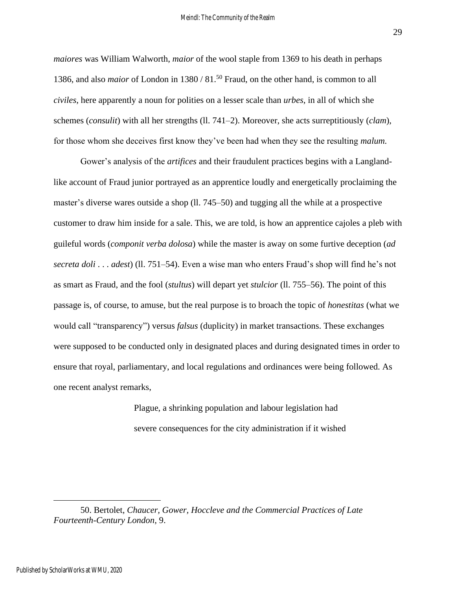*maiores* was William Walworth, *maior* of the wool staple from 1369 to his death in perhaps 1386, and also *maior* of London in 1380 / 81. <sup>50</sup> Fraud, on the other hand, is common to all *civiles*, here apparently a noun for polities on a lesser scale than *urbes*, in all of which she schemes (*consulit*) with all her strengths (ll. 741–2). Moreover, she acts surreptitiously (*clam*), for those whom she deceives first know they've been had when they see the resulting *malum.* 

Gower's analysis of the *artifices* and their fraudulent practices begins with a Langlandlike account of Fraud junior portrayed as an apprentice loudly and energetically proclaiming the master's diverse wares outside a shop (ll. 745–50) and tugging all the while at a prospective customer to draw him inside for a sale. This, we are told, is how an apprentice cajoles a pleb with guileful words (*componit verba dolosa*) while the master is away on some furtive deception (*ad secreta doli* . . . *adest*) (ll. 751–54). Even a wise man who enters Fraud's shop will find he's not as smart as Fraud, and the fool (*stultus*) will depart yet *stulcior* (ll. 755–56). The point of this passage is, of course, to amuse, but the real purpose is to broach the topic of *honestitas* (what we would call "transparency") versus *falsus* (duplicity) in market transactions. These exchanges were supposed to be conducted only in designated places and during designated times in order to ensure that royal, parliamentary, and local regulations and ordinances were being followed. As one recent analyst remarks,

> Plague, a shrinking population and labour legislation had severe consequences for the city administration if it wished

29

<sup>50.</sup> Bertolet, *Chaucer, Gower, Hoccleve and the Commercial Practices of Late Fourteenth-Century London*, 9.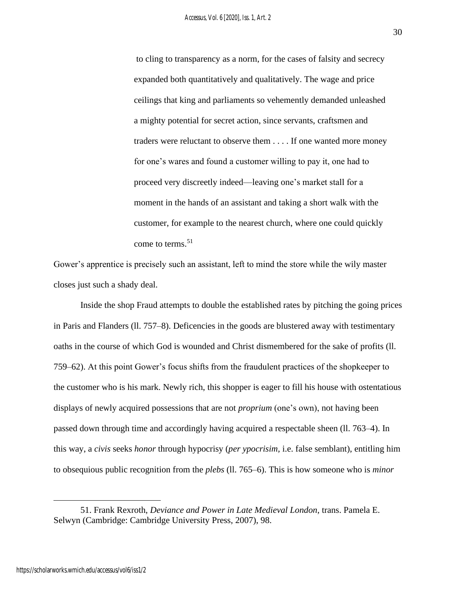to cling to transparency as a norm, for the cases of falsity and secrecy expanded both quantitatively and qualitatively. The wage and price ceilings that king and parliaments so vehemently demanded unleashed a mighty potential for secret action, since servants, craftsmen and traders were reluctant to observe them . . . . If one wanted more money for one's wares and found a customer willing to pay it, one had to proceed very discreetly indeed—leaving one's market stall for a moment in the hands of an assistant and taking a short walk with the customer, for example to the nearest church, where one could quickly come to terms.  $51$ 

Gower's apprentice is precisely such an assistant, left to mind the store while the wily master closes just such a shady deal.

Inside the shop Fraud attempts to double the established rates by pitching the going prices in Paris and Flanders (ll. 757–8). Deficencies in the goods are blustered away with testimentary oaths in the course of which God is wounded and Christ dismembered for the sake of profits (ll. 759–62). At this point Gower's focus shifts from the fraudulent practices of the shopkeeper to the customer who is his mark. Newly rich, this shopper is eager to fill his house with ostentatious displays of newly acquired possessions that are not *proprium* (one's own), not having been passed down through time and accordingly having acquired a respectable sheen (ll. 763–4). In this way, a *civis* seeks *honor* through hypocrisy (*per ypocrisim,* i.e. false semblant), entitling him to obsequious public recognition from the *plebs* (ll. 765–6). This is how someone who is *minor* 

<sup>51.</sup> Frank Rexroth, *Deviance and Power in Late Medieval London*, trans. Pamela E. Selwyn (Cambridge: Cambridge University Press, 2007), 98.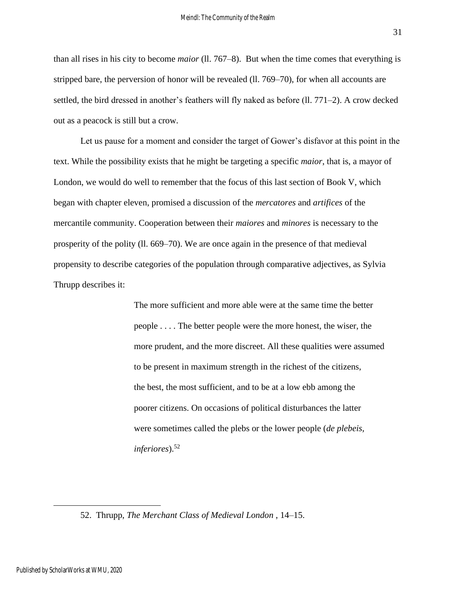than all rises in his city to become *maior* (ll. 767–8). But when the time comes that everything is stripped bare, the perversion of honor will be revealed (ll. 769–70), for when all accounts are settled, the bird dressed in another's feathers will fly naked as before (ll. 771–2). A crow decked out as a peacock is still but a crow.

Let us pause for a moment and consider the target of Gower's disfavor at this point in the text. While the possibility exists that he might be targeting a specific *maior*, that is, a mayor of London, we would do well to remember that the focus of this last section of Book V, which began with chapter eleven, promised a discussion of the *mercatores* and *artifices* of the mercantile community. Cooperation between their *maiores* and *minores* is necessary to the prosperity of the polity (ll. 669–70). We are once again in the presence of that medieval propensity to describe categories of the population through comparative adjectives, as Sylvia Thrupp describes it:

> The more sufficient and more able were at the same time the better people . . . . The better people were the more honest, the wiser, the more prudent, and the more discreet. All these qualities were assumed to be present in maximum strength in the richest of the citizens, the best, the most sufficient, and to be at a low ebb among the poorer citizens. On occasions of political disturbances the latter were sometimes called the plebs or the lower people (*de plebeis, inferiores*).<sup>52</sup>

<sup>52.</sup> Thrupp, *The Merchant Class of Medieval London* , 14–15.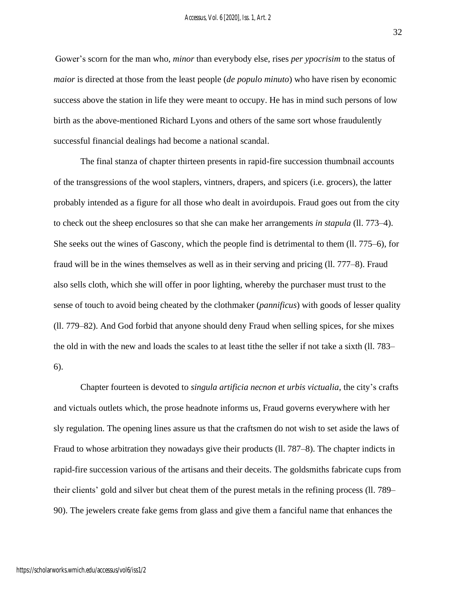Gower's scorn for the man who, *minor* than everybody else, rises *per ypocrisim* to the status of *maior* is directed at those from the least people (*de populo minuto*) who have risen by economic success above the station in life they were meant to occupy. He has in mind such persons of low birth as the above-mentioned Richard Lyons and others of the same sort whose fraudulently successful financial dealings had become a national scandal.

The final stanza of chapter thirteen presents in rapid-fire succession thumbnail accounts of the transgressions of the wool staplers, vintners, drapers, and spicers (i.e. grocers), the latter probably intended as a figure for all those who dealt in avoirdupois. Fraud goes out from the city to check out the sheep enclosures so that she can make her arrangements *in stapula* (ll. 773–4). She seeks out the wines of Gascony, which the people find is detrimental to them (ll. 775–6), for fraud will be in the wines themselves as well as in their serving and pricing (ll. 777–8). Fraud also sells cloth, which she will offer in poor lighting, whereby the purchaser must trust to the sense of touch to avoid being cheated by the clothmaker (*pannificus*) with goods of lesser quality (ll. 779–82). And God forbid that anyone should deny Fraud when selling spices, for she mixes the old in with the new and loads the scales to at least tithe the seller if not take a sixth (ll. 783– 6).

Chapter fourteen is devoted to *singula artificia necnon et urbis victualia*, the city's crafts and victuals outlets which, the prose headnote informs us, Fraud governs everywhere with her sly regulation. The opening lines assure us that the craftsmen do not wish to set aside the laws of Fraud to whose arbitration they nowadays give their products (ll. 787–8). The chapter indicts in rapid-fire succession various of the artisans and their deceits. The goldsmiths fabricate cups from their clients' gold and silver but cheat them of the purest metals in the refining process (ll. 789– 90). The jewelers create fake gems from glass and give them a fanciful name that enhances the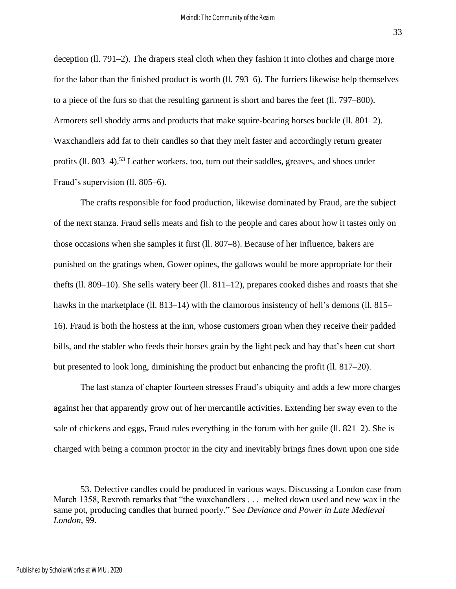deception (ll. 791–2). The drapers steal cloth when they fashion it into clothes and charge more for the labor than the finished product is worth (ll. 793–6). The furriers likewise help themselves to a piece of the furs so that the resulting garment is short and bares the feet (ll. 797–800). Armorers sell shoddy arms and products that make squire-bearing horses buckle (ll. 801–2). Waxchandlers add fat to their candles so that they melt faster and accordingly return greater profits (II. 803–4).<sup>53</sup> Leather workers, too, turn out their saddles, greaves, and shoes under Fraud's supervision (ll. 805–6).

The crafts responsible for food production, likewise dominated by Fraud, are the subject of the next stanza. Fraud sells meats and fish to the people and cares about how it tastes only on those occasions when she samples it first (ll. 807–8). Because of her influence, bakers are punished on the gratings when, Gower opines, the gallows would be more appropriate for their thefts (ll. 809–10). She sells watery beer (ll. 811–12), prepares cooked dishes and roasts that she hawks in the marketplace (Il. 813–14) with the clamorous insistency of hell's demons (Il. 815– 16). Fraud is both the hostess at the inn, whose customers groan when they receive their padded bills, and the stabler who feeds their horses grain by the light peck and hay that's been cut short but presented to look long, diminishing the product but enhancing the profit (ll. 817–20).

The last stanza of chapter fourteen stresses Fraud's ubiquity and adds a few more charges against her that apparently grow out of her mercantile activities. Extending her sway even to the sale of chickens and eggs, Fraud rules everything in the forum with her guile (ll. 821–2). She is charged with being a common proctor in the city and inevitably brings fines down upon one side

<sup>53.</sup> Defective candles could be produced in various ways. Discussing a London case from March 1358, Rexroth remarks that "the waxchandlers . . . melted down used and new wax in the same pot, producing candles that burned poorly." See *Deviance and Power in Late Medieval London*, 99.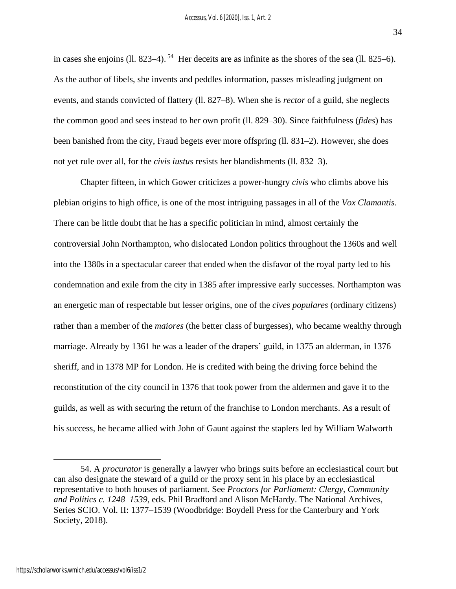in cases she enjoins (ll. 823–4). <sup>54</sup> Her deceits are as infinite as the shores of the sea (ll. 825–6). As the author of libels, she invents and peddles information, passes misleading judgment on events, and stands convicted of flattery (ll. 827–8). When she is *rector* of a guild, she neglects the common good and sees instead to her own profit (ll. 829–30). Since faithfulness (*fides*) has been banished from the city, Fraud begets ever more offspring (ll. 831–2). However, she does not yet rule over all, for the *civis iustus* resists her blandishments (ll. 832–3).

Chapter fifteen, in which Gower criticizes a power-hungry *civis* who climbs above his plebian origins to high office, is one of the most intriguing passages in all of the *Vox Clamantis*. There can be little doubt that he has a specific politician in mind, almost certainly the controversial John Northampton, who dislocated London politics throughout the 1360s and well into the 1380s in a spectacular career that ended when the disfavor of the royal party led to his condemnation and exile from the city in 1385 after impressive early successes. Northampton was an energetic man of respectable but lesser origins, one of the *cives populares* (ordinary citizens) rather than a member of the *maiores* (the better class of burgesses), who became wealthy through marriage. Already by 1361 he was a leader of the drapers' guild, in 1375 an alderman, in 1376 sheriff, and in 1378 MP for London. He is credited with being the driving force behind the reconstitution of the city council in 1376 that took power from the aldermen and gave it to the guilds, as well as with securing the return of the franchise to London merchants. As a result of his success, he became allied with John of Gaunt against the staplers led by William Walworth

<sup>54.</sup> A *procurator* is generally a lawyer who brings suits before an ecclesiastical court but can also designate the steward of a guild or the proxy sent in his place by an ecclesiastical representative to both houses of parliament. See *Proctors for Parliament: Clergy, Community and Politics c. 1248–1539*, eds. Phil Bradford and Alison McHardy. The National Archives, Series SCIO. Vol. II: 1377–1539 (Woodbridge: Boydell Press for the Canterbury and York Society, 2018).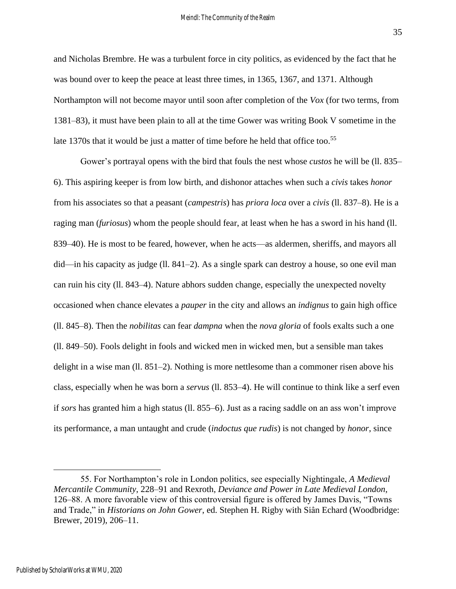and Nicholas Brembre. He was a turbulent force in city politics, as evidenced by the fact that he was bound over to keep the peace at least three times, in 1365, 1367, and 1371. Although Northampton will not become mayor until soon after completion of the *Vox* (for two terms, from 1381–83), it must have been plain to all at the time Gower was writing Book V sometime in the late 1370s that it would be just a matter of time before he held that office too.<sup>55</sup>

Gower's portrayal opens with the bird that fouls the nest whose *custos* he will be (ll. 835– 6). This aspiring keeper is from low birth, and dishonor attaches when such a *civis* takes *honor*  from his associates so that a peasant (*campestris*) has *priora loca* over a *civis* (ll. 837–8). He is a raging man (*furiosus*) whom the people should fear, at least when he has a sword in his hand (ll. 839–40). He is most to be feared, however, when he acts—as aldermen, sheriffs, and mayors all did—in his capacity as judge (ll. 841–2). As a single spark can destroy a house, so one evil man can ruin his city (ll. 843–4). Nature abhors sudden change, especially the unexpected novelty occasioned when chance elevates a *pauper* in the city and allows an *indignus* to gain high office (ll. 845–8). Then the *nobilitas* can fear *dampna* when the *nova gloria* of fools exalts such a one (ll. 849–50). Fools delight in fools and wicked men in wicked men, but a sensible man takes delight in a wise man (ll. 851–2). Nothing is more nettlesome than a commoner risen above his class, especially when he was born a *servus* (ll. 853–4). He will continue to think like a serf even if *sors* has granted him a high status (ll. 855–6). Just as a racing saddle on an ass won't improve its performance, a man untaught and crude (*indoctus que rudis*) is not changed by *honor*, since

<sup>55.</sup> For Northampton's role in London politics, see especially Nightingale, *A Medieval Mercantile Community*, 228–91 and Rexroth, *Deviance and Power in Late Medieval London*, 126–88. A more favorable view of this controversial figure is offered by James Davis, "Towns and Trade," in *Historians on John Gower*, ed. Stephen H. Rigby with Siân Echard (Woodbridge: Brewer, 2019), 206–11.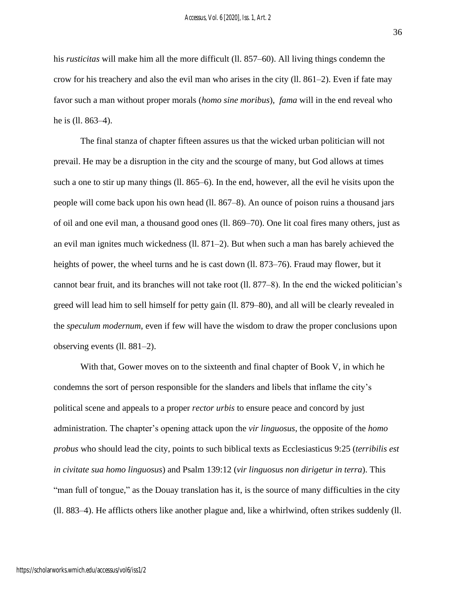36

his *rusticitas* will make him all the more difficult (ll. 857–60). All living things condemn the crow for his treachery and also the evil man who arises in the city (ll. 861–2). Even if fate may favor such a man without proper morals (*homo sine moribus*), *fama* will in the end reveal who he is (ll. 863–4).

The final stanza of chapter fifteen assures us that the wicked urban politician will not prevail. He may be a disruption in the city and the scourge of many, but God allows at times such a one to stir up many things (ll. 865–6). In the end, however, all the evil he visits upon the people will come back upon his own head (ll. 867–8). An ounce of poison ruins a thousand jars of oil and one evil man, a thousand good ones (ll. 869–70). One lit coal fires many others, just as an evil man ignites much wickedness (ll. 871–2). But when such a man has barely achieved the heights of power, the wheel turns and he is cast down (ll. 873–76). Fraud may flower, but it cannot bear fruit, and its branches will not take root (ll. 877–8). In the end the wicked politician's greed will lead him to sell himself for petty gain (ll. 879–80), and all will be clearly revealed in the *speculum modernum*, even if few will have the wisdom to draw the proper conclusions upon observing events (ll. 881–2).

With that, Gower moves on to the sixteenth and final chapter of Book V, in which he condemns the sort of person responsible for the slanders and libels that inflame the city's political scene and appeals to a proper *rector urbis* to ensure peace and concord by just administration. The chapter's opening attack upon the *vir linguosus*, the opposite of the *homo probus* who should lead the city, points to such biblical texts as Ecclesiasticus 9:25 (*terribilis est in civitate sua homo linguosus*) and Psalm 139:12 (*vir linguosus non dirigetur in terra*). This "man full of tongue," as the Douay translation has it, is the source of many difficulties in the city (ll. 883–4). He afflicts others like another plague and, like a whirlwind, often strikes suddenly (ll.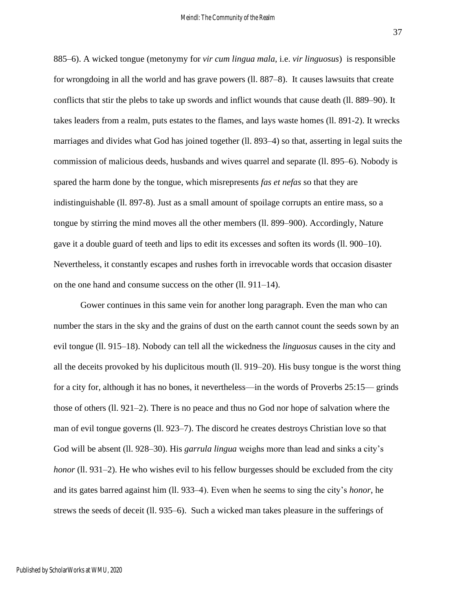885–6). A wicked tongue (metonymy for *vir cum lingua mala*, i.e. *vir linguosus*) is responsible for wrongdoing in all the world and has grave powers (ll. 887–8). It causes lawsuits that create conflicts that stir the plebs to take up swords and inflict wounds that cause death (ll. 889–90). It takes leaders from a realm, puts estates to the flames, and lays waste homes (ll. 891-2). It wrecks marriages and divides what God has joined together (ll. 893–4) so that, asserting in legal suits the commission of malicious deeds, husbands and wives quarrel and separate (ll. 895–6). Nobody is spared the harm done by the tongue, which misrepresents *fas et nefas* so that they are indistinguishable (ll. 897-8). Just as a small amount of spoilage corrupts an entire mass, so a tongue by stirring the mind moves all the other members (ll. 899–900). Accordingly, Nature gave it a double guard of teeth and lips to edit its excesses and soften its words (ll. 900–10). Nevertheless, it constantly escapes and rushes forth in irrevocable words that occasion disaster on the one hand and consume success on the other (ll. 911–14).

Gower continues in this same vein for another long paragraph. Even the man who can number the stars in the sky and the grains of dust on the earth cannot count the seeds sown by an evil tongue (ll. 915–18). Nobody can tell all the wickedness the *linguosus* causes in the city and all the deceits provoked by his duplicitous mouth (ll. 919–20). His busy tongue is the worst thing for a city for, although it has no bones, it nevertheless—in the words of Proverbs 25:15— grinds those of others (ll. 921–2). There is no peace and thus no God nor hope of salvation where the man of evil tongue governs (ll. 923–7). The discord he creates destroys Christian love so that God will be absent (ll. 928–30). His *garrula lingua* weighs more than lead and sinks a city's *honor* (Il. 931–2). He who wishes evil to his fellow burgesses should be excluded from the city and its gates barred against him (ll. 933–4). Even when he seems to sing the city's *honor*, he strews the seeds of deceit (ll. 935–6). Such a wicked man takes pleasure in the sufferings of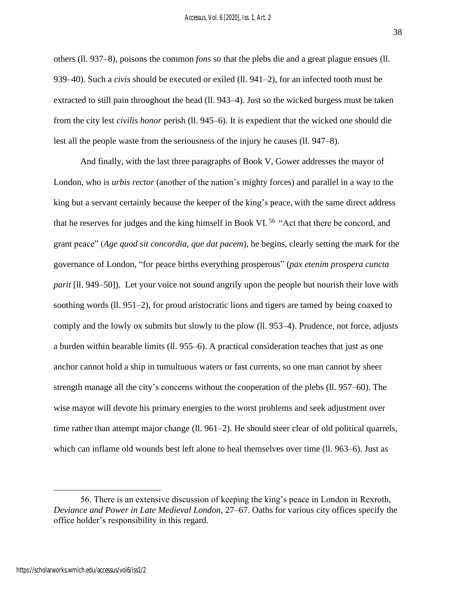others (ll. 937–8), poisons the common *fons* so that the plebs die and a great plague ensues (ll. 939–40). Such a *civis* should be executed or exiled (ll. 941–2), for an infected tooth must be extracted to still pain throughout the head (ll. 943–4). Just so the wicked burgess must be taken from the city lest *civilis honor* perish (ll. 945–6). It is expedient that the wicked one should die lest all the people waste from the seriousness of the injury he causes (ll. 947–8).

And finally, with the last three paragraphs of Book V, Gower addresses the mayor of London, who is *urbis rector* (another of the nation's mighty forces) and parallel in a way to the king but a servant certainly because the keeper of the king's peace, with the same direct address that he reserves for judges and the king himself in Book VI.<sup>56</sup> "Act that there be concord, and grant peace" (*Age quod sit concordia, que dat pacem*)*,* he begins, clearly setting the mark for the governance of London, "for peace births everything prosperous" (*pax etenim prospera cuncta parit* [II. 949–50]). Let your voice not sound angrily upon the people but nourish their love with soothing words (ll. 951–2), for proud aristocratic lions and tigers are tamed by being coaxed to comply and the lowly ox submits but slowly to the plow (ll. 953–4). Prudence, not force, adjusts a burden within bearable limits (ll. 955–6). A practical consideration teaches that just as one anchor cannot hold a ship in tumultuous waters or fast currents, so one man cannot by sheer strength manage all the city's concerns without the cooperation of the plebs (ll. 957–60). The wise mayor will devote his primary energies to the worst problems and seek adjustment over time rather than attempt major change (ll. 961–2). He should steer clear of old political quarrels, which can inflame old wounds best left alone to heal themselves over time (II. 963–6). Just as

<sup>56.</sup> There is an extensive discussion of keeping the king's peace in London in Rexroth, *Deviance and Power in Late Medieval London*, 27–67. Oaths for various city offices specify the office holder's responsibility in this regard.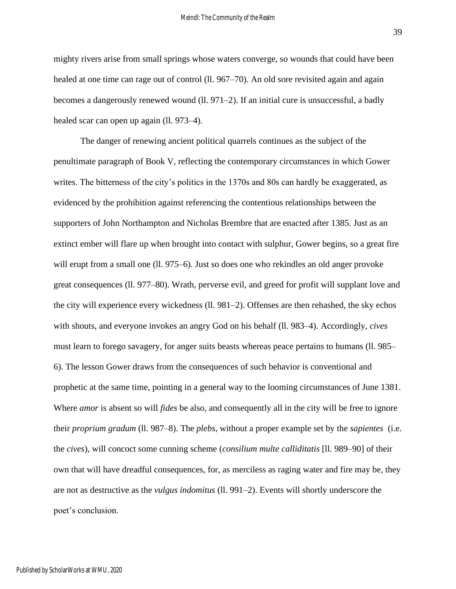mighty rivers arise from small springs whose waters converge, so wounds that could have been healed at one time can rage out of control (ll. 967–70). An old sore revisited again and again becomes a dangerously renewed wound (ll. 971–2). If an initial cure is unsuccessful, a badly healed scar can open up again (ll. 973–4).

The danger of renewing ancient political quarrels continues as the subject of the penultimate paragraph of Book V, reflecting the contemporary circumstances in which Gower writes. The bitterness of the city's politics in the 1370s and 80s can hardly be exaggerated, as evidenced by the prohibition against referencing the contentious relationships between the supporters of John Northampton and Nicholas Brembre that are enacted after 1385. Just as an extinct ember will flare up when brought into contact with sulphur, Gower begins, so a great fire will erupt from a small one (ll. 975–6). Just so does one who rekindles an old anger provoke great consequences (ll. 977–80). Wrath, perverse evil, and greed for profit will supplant love and the city will experience every wickedness (ll. 981–2). Offenses are then rehashed, the sky echos with shouts, and everyone invokes an angry God on his behalf (ll. 983–4). Accordingly, *cives*  must learn to forego savagery, for anger suits beasts whereas peace pertains to humans (ll. 985– 6). The lesson Gower draws from the consequences of such behavior is conventional and prophetic at the same time, pointing in a general way to the looming circumstances of June 1381. Where *amor* is absent so will *fides* be also*,* and consequently all in the city will be free to ignore their *proprium gradum* (ll. 987–8). The *plebs*, without a proper example set by the *sapientes* (i.e. the *cives*), will concoct some cunning scheme (*consilium multe calliditatis* [ll. 989–90] of their own that will have dreadful consequences, for, as merciless as raging water and fire may be, they are not as destructive as the *vulgus indomitus* (ll. 991–2). Events will shortly underscore the poet's conclusion.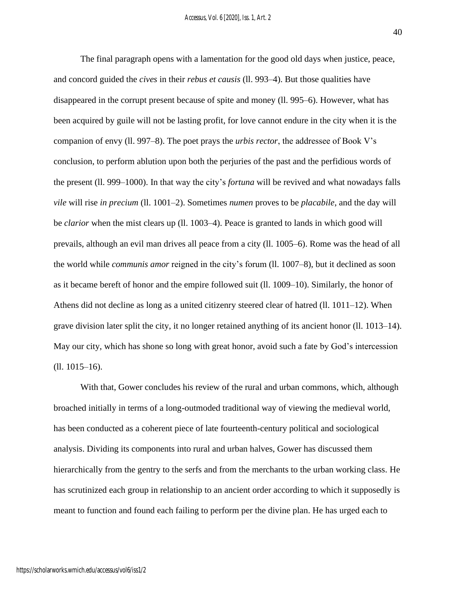The final paragraph opens with a lamentation for the good old days when justice, peace, and concord guided the *cives* in their *rebus et causis* (ll. 993–4). But those qualities have disappeared in the corrupt present because of spite and money (ll. 995–6). However, what has been acquired by guile will not be lasting profit, for love cannot endure in the city when it is the companion of envy (ll. 997–8). The poet prays the *urbis rector*, the addressee of Book V's conclusion, to perform ablution upon both the perjuries of the past and the perfidious words of the present (ll. 999–1000). In that way the city's *fortuna* will be revived and what nowadays falls *vile* will rise *in precium* (ll. 1001–2). Sometimes *numen* proves to be *placabile*, and the day will be *clarior* when the mist clears up (ll. 1003–4). Peace is granted to lands in which good will prevails, although an evil man drives all peace from a city (ll. 1005–6). Rome was the head of all the world while *communis amor* reigned in the city's forum (ll. 1007–8), but it declined as soon as it became bereft of honor and the empire followed suit (ll. 1009–10). Similarly, the honor of Athens did not decline as long as a united citizenry steered clear of hatred (ll. 1011–12). When grave division later split the city, it no longer retained anything of its ancient honor (ll. 1013–14). May our city, which has shone so long with great honor, avoid such a fate by God's intercession (ll. 1015–16).

With that, Gower concludes his review of the rural and urban commons, which, although broached initially in terms of a long-outmoded traditional way of viewing the medieval world, has been conducted as a coherent piece of late fourteenth-century political and sociological analysis. Dividing its components into rural and urban halves, Gower has discussed them hierarchically from the gentry to the serfs and from the merchants to the urban working class. He has scrutinized each group in relationship to an ancient order according to which it supposedly is meant to function and found each failing to perform per the divine plan. He has urged each to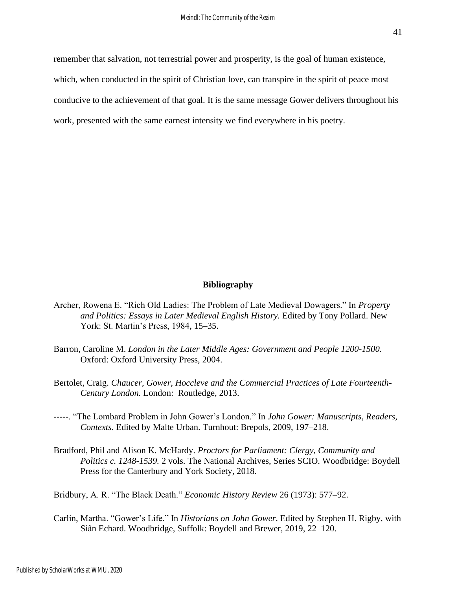remember that salvation, not terrestrial power and prosperity, is the goal of human existence, which, when conducted in the spirit of Christian love, can transpire in the spirit of peace most conducive to the achievement of that goal. It is the same message Gower delivers throughout his work, presented with the same earnest intensity we find everywhere in his poetry.

## **Bibliography**

- Archer, Rowena E. "Rich Old Ladies: The Problem of Late Medieval Dowagers." In *Property and Politics: Essays in Later Medieval English History.* Edited by Tony Pollard. New York: St. Martin's Press, 1984, 15–35.
- Barron, Caroline M. *London in the Later Middle Ages: Government and People 1200-1500.*  Oxford: Oxford University Press, 2004.
- Bertolet, Craig. *Chaucer, Gower, Hoccleve and the Commercial Practices of Late Fourteenth-Century London.* London: Routledge, 2013.
- -----. "The Lombard Problem in John Gower's London." In *John Gower: Manuscripts, Readers, Contexts.* Edited by Malte Urban. Turnhout: Brepols, 2009, 197–218.
- Bradford, Phil and Alison K. McHardy. *Proctors for Parliament: Clergy, Community and Politics c. 1248-1539.* 2 vols. The National Archives, Series SCIO. Woodbridge: Boydell Press for the Canterbury and York Society, 2018.

Bridbury, A. R. "The Black Death." *Economic History Review* 26 (1973): 577–92.

Carlin, Martha. "Gower's Life." In *Historians on John Gower*. Edited by Stephen H. Rigby, with Siân Echard. Woodbridge, Suffolk: Boydell and Brewer, 2019, 22–120.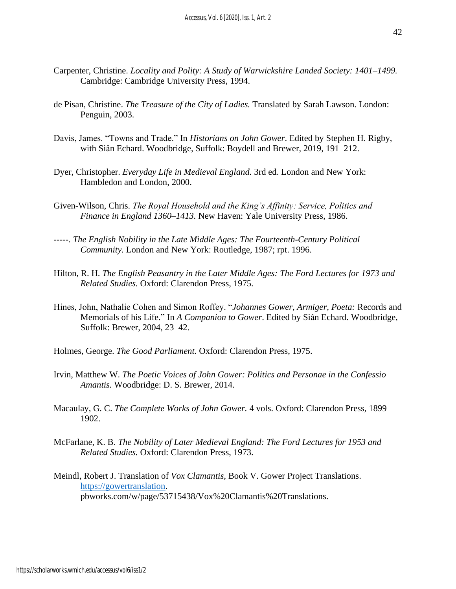- Carpenter, Christine. *Locality and Polity: A Study of Warwickshire Landed Society: 1401–1499.*  Cambridge: Cambridge University Press, 1994.
- de Pisan, Christine. *The Treasure of the City of Ladies.* Translated by Sarah Lawson. London: Penguin, 2003.
- Davis, James. "Towns and Trade." In *Historians on John Gower*. Edited by Stephen H. Rigby, with Siân Echard. Woodbridge, Suffolk: Boydell and Brewer, 2019, 191–212.
- Dyer, Christopher. *Everyday Life in Medieval England.* 3rd ed. London and New York: Hambledon and London, 2000.
- Given-Wilson, Chris. *The Royal Household and the King's Affinity: Service, Politics and Finance in England 1360–1413.* New Haven: Yale University Press, 1986.
- -----. *The English Nobility in the Late Middle Ages: The Fourteenth-Century Political Community.* London and New York: Routledge, 1987; rpt. 1996.
- Hilton, R. H. *The English Peasantry in the Later Middle Ages: The Ford Lectures for 1973 and Related Studies.* Oxford: Clarendon Press, 1975.
- Hines, John, Nathalie Cohen and Simon Roffey. "*Johannes Gower, Armiger, Poeta:* Records and Memorials of his Life." In *A Companion to Gower*. Edited by Siân Echard. Woodbridge, Suffolk: Brewer, 2004, 23–42.
- Holmes, George. *The Good Parliament.* Oxford: Clarendon Press, 1975.
- Irvin, Matthew W. *The Poetic Voices of John Gower: Politics and Personae in the Confessio Amantis.* Woodbridge: D. S. Brewer, 2014.
- Macaulay, G. C. *The Complete Works of John Gower.* 4 vols. Oxford: Clarendon Press, 1899– 1902.
- McFarlane, K. B. *The Nobility of Later Medieval England: The Ford Lectures for 1953 and Related Studies.* Oxford: Clarendon Press, 1973.
- Meindl, Robert J. Translation of *Vox Clamantis,* Book V. Gower Project Translations. [https://gowertranslation.](https://gowertranslation/) pbworks.com/w/page/53715438/Vox%20Clamantis%20Translations.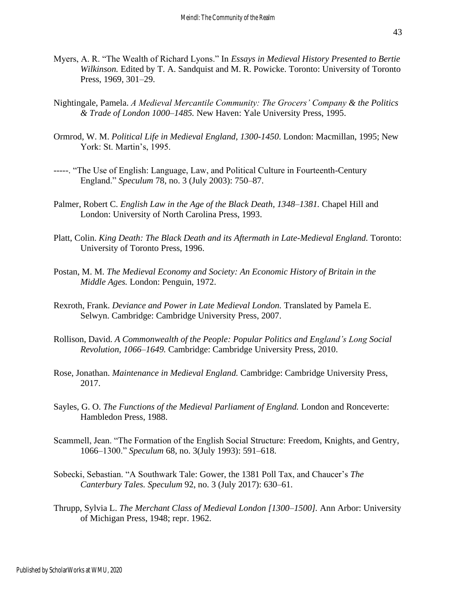- Myers, A. R. "The Wealth of Richard Lyons." In *Essays in Medieval History Presented to Bertie Wilkinson.* Edited by T. A. Sandquist and M. R. Powicke. Toronto: University of Toronto Press, 1969, 301–29.
- Nightingale, Pamela. *A Medieval Mercantile Community: The Grocers' Company & the Politics & Trade of London 1000–1485.* New Haven: Yale University Press, 1995.
- Ormrod, W. M. *Political Life in Medieval England, 1300-1450*. London: Macmillan, 1995; New York: St. Martin's, 1995.
- -----. "The Use of English: Language, Law, and Political Culture in Fourteenth-Century England." *Speculum* 78, no. 3 (July 2003): 750–87.
- Palmer, Robert C. *English Law in the Age of the Black Death, 1348–1381*. Chapel Hill and London: University of North Carolina Press, 1993.
- Platt, Colin. *King Death: The Black Death and its Aftermath in Late-Medieval England.* Toronto: University of Toronto Press, 1996.
- Postan, M. M. *The Medieval Economy and Society: An Economic History of Britain in the Middle Ages.* London: Penguin, 1972.
- Rexroth, Frank. *Deviance and Power in Late Medieval London.* Translated by Pamela E. Selwyn. Cambridge: Cambridge University Press, 2007.
- Rollison, David. *A Commonwealth of the People: Popular Politics and England's Long Social Revolution, 1066–1649.* Cambridge: Cambridge University Press, 2010.
- Rose, Jonathan. *Maintenance in Medieval England.* Cambridge: Cambridge University Press, 2017.
- Sayles, G. O. *The Functions of the Medieval Parliament of England*. London and Ronceverte: Hambledon Press, 1988.
- Scammell, Jean. "The Formation of the English Social Structure: Freedom, Knights, and Gentry, 1066–1300." *Speculum* 68, no. 3(July 1993): 591–618.
- Sobecki, Sebastian. "A Southwark Tale: Gower, the 1381 Poll Tax, and Chaucer's *The Canterbury Tales. Speculum* 92, no. 3 (July 2017): 630–61.
- Thrupp, Sylvia L. *The Merchant Class of Medieval London [1300–1500].* Ann Arbor: University of Michigan Press, 1948; repr. 1962.